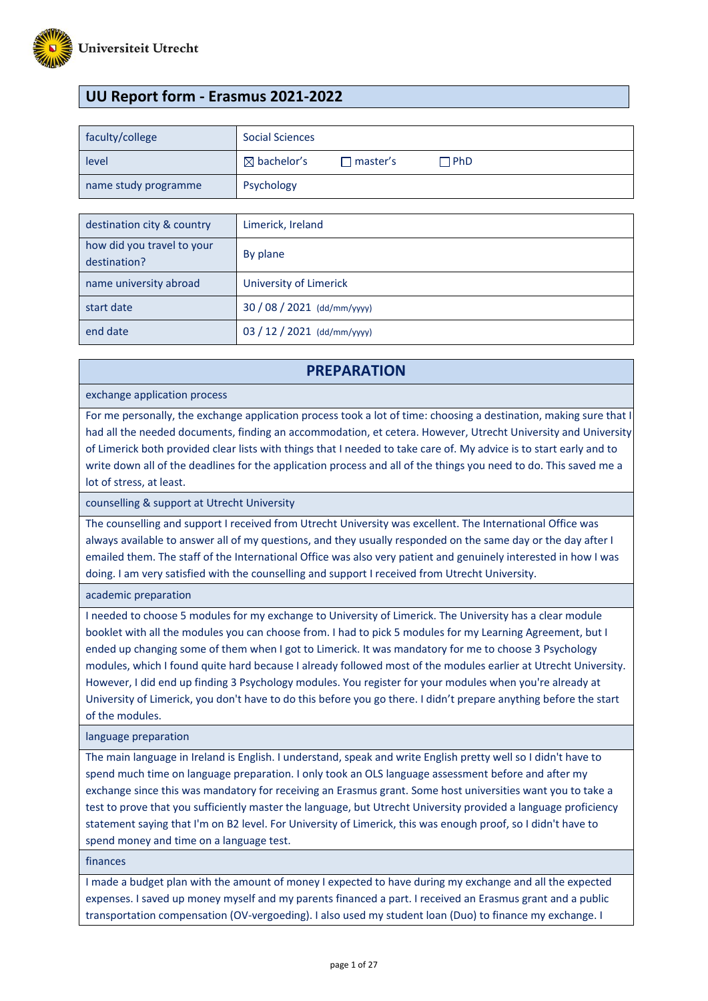

# **UU Report form - Erasmus 2021-2022**

| faculty/college      | <b>Social Sciences</b> |                   |      |
|----------------------|------------------------|-------------------|------|
| level                | $\boxtimes$ bachelor's | $\sqcap$ master's | ∃PhD |
| name study programme | Psychology             |                   |      |

| destination city & country                 | Limerick, Ireland           |
|--------------------------------------------|-----------------------------|
| how did you travel to your<br>destination? | By plane                    |
| name university abroad                     | University of Limerick      |
| start date                                 | $30/08/2021$ (dd/mm/yyyy)   |
| end date                                   | 03 / 12 / 2021 (dd/mm/yyyy) |

### **PREPARATION**

#### exchange application process

For me personally, the exchange application process took a lot of time: choosing a destination, making sure that I had all the needed documents, finding an accommodation, et cetera. However, Utrecht University and University of Limerick both provided clear lists with things that I needed to take care of. My advice is to start early and to write down all of the deadlines for the application process and all of the things you need to do. This saved me a lot of stress, at least.

counselling & support at Utrecht University

The counselling and support I received from Utrecht University was excellent. The International Office was always available to answer all of my questions, and they usually responded on the same day or the day after I emailed them. The staff of the International Office was also very patient and genuinely interested in how I was doing. I am very satisfied with the counselling and support I received from Utrecht University.

academic preparation

I needed to choose 5 modules for my exchange to University of Limerick. The University has a clear module booklet with all the modules you can choose from. I had to pick 5 modules for my Learning Agreement, but I ended up changing some of them when I got to Limerick. It was mandatory for me to choose 3 Psychology modules, which I found quite hard because I already followed most of the modules earlier at Utrecht University. However, I did end up finding 3 Psychology modules. You register for your modules when you're already at University of Limerick, you don't have to do this before you go there. I didn't prepare anything before the start of the modules.

language preparation

The main language in Ireland is English. I understand, speak and write English pretty well so I didn't have to spend much time on language preparation. I only took an OLS language assessment before and after my exchange since this was mandatory for receiving an Erasmus grant. Some host universities want you to take a test to prove that you sufficiently master the language, but Utrecht University provided a language proficiency statement saying that I'm on B2 level. For University of Limerick, this was enough proof, so I didn't have to spend money and time on a language test.

finances

I made a budget plan with the amount of money I expected to have during my exchange and all the expected expenses. I saved up money myself and my parents financed a part. I received an Erasmus grant and a public transportation compensation (OV-vergoeding). I also used my student loan (Duo) to finance my exchange. I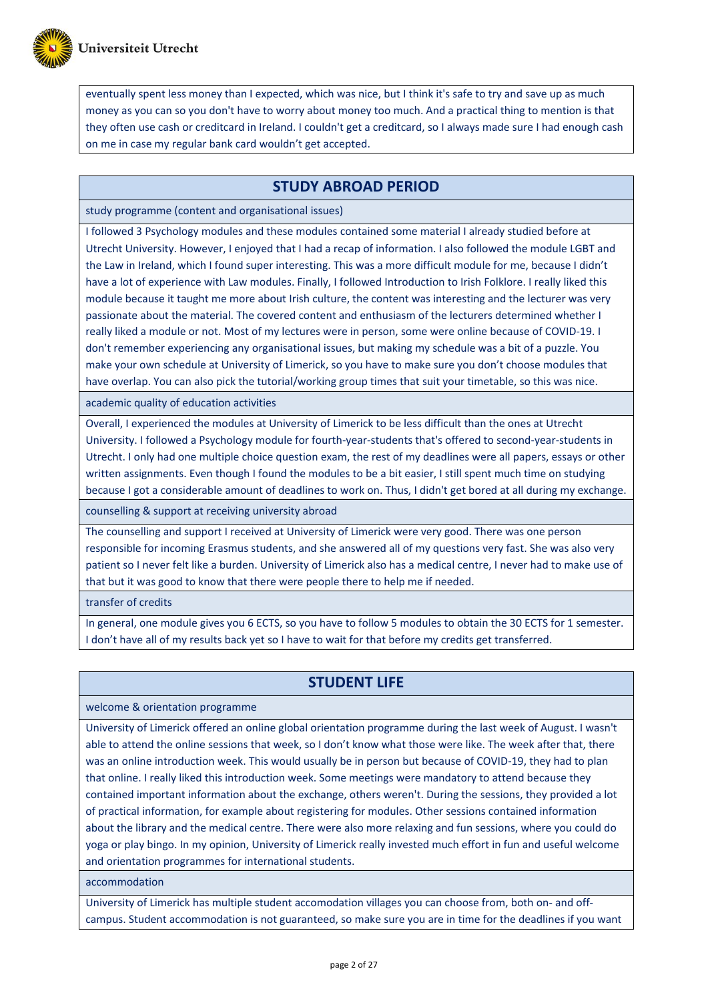

eventually spent less money than I expected, which was nice, but I think it's safe to try and save up as much money as you can so you don't have to worry about money too much. And a practical thing to mention is that they often use cash or creditcard in Ireland. I couldn't get a creditcard, so I always made sure I had enough cash on me in case my regular bank card wouldn't get accepted.

# **STUDY ABROAD PERIOD**

study programme (content and organisational issues)

I followed 3 Psychology modules and these modules contained some material I already studied before at Utrecht University. However, I enjoyed that I had a recap of information. I also followed the module LGBT and the Law in Ireland, which I found super interesting. This was a more difficult module for me, because I didn't have a lot of experience with Law modules. Finally, I followed Introduction to Irish Folklore. I really liked this module because it taught me more about Irish culture, the content was interesting and the lecturer was very passionate about the material. The covered content and enthusiasm of the lecturers determined whether I really liked a module or not. Most of my lectures were in person, some were online because of COVID-19. I don't remember experiencing any organisational issues, but making my schedule was a bit of a puzzle. You make your own schedule at University of Limerick, so you have to make sure you don't choose modules that have overlap. You can also pick the tutorial/working group times that suit your timetable, so this was nice.

academic quality of education activities

Overall, I experienced the modules at University of Limerick to be less difficult than the ones at Utrecht University. I followed a Psychology module for fourth-year-students that's offered to second-year-students in Utrecht. I only had one multiple choice question exam, the rest of my deadlines were all papers, essays or other written assignments. Even though I found the modules to be a bit easier, I still spent much time on studying because I got a considerable amount of deadlines to work on. Thus, I didn't get bored at all during my exchange.

counselling & support at receiving university abroad

The counselling and support I received at University of Limerick were very good. There was one person responsible for incoming Erasmus students, and she answered all of my questions very fast. She was also very patient so I never felt like a burden. University of Limerick also has a medical centre, I never had to make use of that but it was good to know that there were people there to help me if needed.

transfer of credits

In general, one module gives you 6 ECTS, so you have to follow 5 modules to obtain the 30 ECTS for 1 semester. I don't have all of my results back yet so I have to wait for that before my credits get transferred.

# **STUDENT LIFE**

welcome & orientation programme

University of Limerick offered an online global orientation programme during the last week of August. I wasn't able to attend the online sessions that week, so I don't know what those were like. The week after that, there was an online introduction week. This would usually be in person but because of COVID-19, they had to plan that online. I really liked this introduction week. Some meetings were mandatory to attend because they contained important information about the exchange, others weren't. During the sessions, they provided a lot of practical information, for example about registering for modules. Other sessions contained information about the library and the medical centre. There were also more relaxing and fun sessions, where you could do yoga or play bingo. In my opinion, University of Limerick really invested much effort in fun and useful welcome and orientation programmes for international students.

accommodation

University of Limerick has multiple student accomodation villages you can choose from, both on- and offcampus. Student accommodation is not guaranteed, so make sure you are in time for the deadlines if you want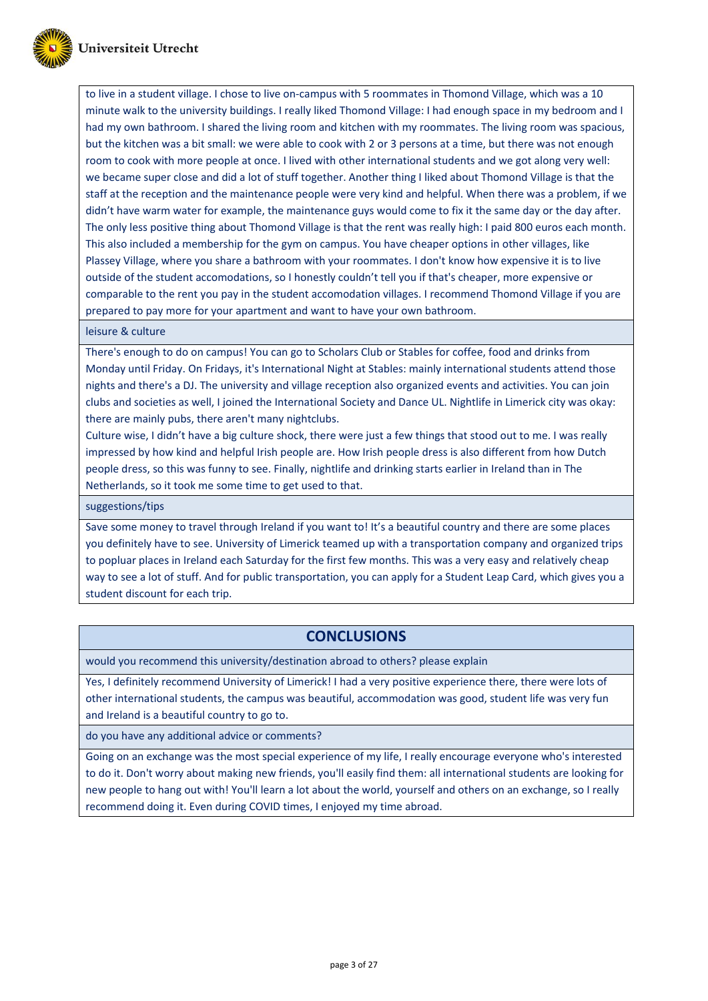

to live in a student village. I chose to live on-campus with 5 roommates in Thomond Village, which was a 10 minute walk to the university buildings. I really liked Thomond Village: I had enough space in my bedroom and I had my own bathroom. I shared the living room and kitchen with my roommates. The living room was spacious, but the kitchen was a bit small: we were able to cook with 2 or 3 persons at a time, but there was not enough room to cook with more people at once. I lived with other international students and we got along very well: we became super close and did a lot of stuff together. Another thing I liked about Thomond Village is that the staff at the reception and the maintenance people were very kind and helpful. When there was a problem, if we didn't have warm water for example, the maintenance guys would come to fix it the same day or the day after. The only less positive thing about Thomond Village is that the rent was really high: I paid 800 euros each month. This also included a membership for the gym on campus. You have cheaper options in other villages, like Plassey Village, where you share a bathroom with your roommates. I don't know how expensive it is to live outside of the student accomodations, so I honestly couldn't tell you if that's cheaper, more expensive or comparable to the rent you pay in the student accomodation villages. I recommend Thomond Village if you are prepared to pay more for your apartment and want to have your own bathroom.

leisure & culture

There's enough to do on campus! You can go to Scholars Club or Stables for coffee, food and drinks from Monday until Friday. On Fridays, it's International Night at Stables: mainly international students attend those nights and there's a DJ. The university and village reception also organized events and activities. You can join clubs and societies as well, I joined the International Society and Dance UL. Nightlife in Limerick city was okay: there are mainly pubs, there aren't many nightclubs.

Culture wise, I didn't have a big culture shock, there were just a few things that stood out to me. I was really impressed by how kind and helpful Irish people are. How Irish people dress is also different from how Dutch people dress, so this was funny to see. Finally, nightlife and drinking starts earlier in Ireland than in The Netherlands, so it took me some time to get used to that.

suggestions/tips

Save some money to travel through Ireland if you want to! It's a beautiful country and there are some places you definitely have to see. University of Limerick teamed up with a transportation company and organized trips to popluar places in Ireland each Saturday for the first few months. This was a very easy and relatively cheap way to see a lot of stuff. And for public transportation, you can apply for a Student Leap Card, which gives you a student discount for each trip.

### **CONCLUSIONS**

would you recommend this university/destination abroad to others? please explain

Yes, I definitely recommend University of Limerick! I had a very positive experience there, there were lots of other international students, the campus was beautiful, accommodation was good, student life was very fun and Ireland is a beautiful country to go to.

do you have any additional advice or comments?

Going on an exchange was the most special experience of my life, I really encourage everyone who's interested to do it. Don't worry about making new friends, you'll easily find them: all international students are looking for new people to hang out with! You'll learn a lot about the world, yourself and others on an exchange, so I really recommend doing it. Even during COVID times, I enjoyed my time abroad.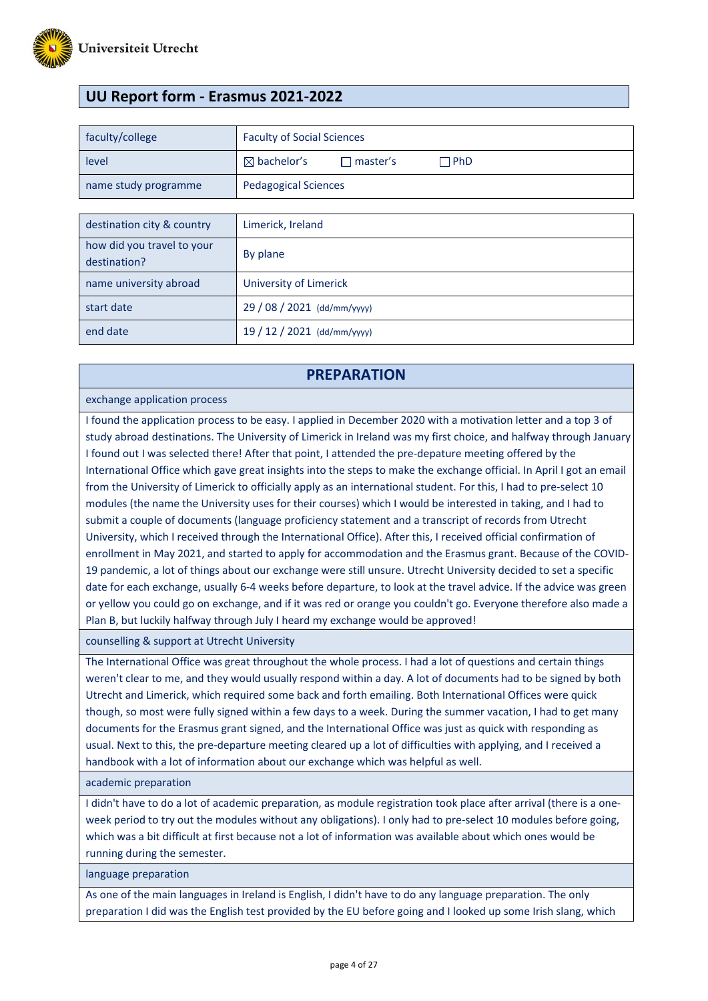

# **UU Report form - Erasmus 2021-2022**

| faculty/college      | <b>Faculty of Social Sciences</b> |                   |       |
|----------------------|-----------------------------------|-------------------|-------|
| level                | $\boxtimes$ bachelor's            | $\sqcap$ master's | ∩ PhD |
| name study programme | <b>Pedagogical Sciences</b>       |                   |       |

| destination city & country                 | Limerick, Ireland           |
|--------------------------------------------|-----------------------------|
| how did you travel to your<br>destination? | By plane                    |
| name university abroad                     | University of Limerick      |
| start date                                 | 29 / 08 / 2021 (dd/mm/yyyy) |
| end date                                   | 19 / 12 / 2021 (dd/mm/yyyy) |

#### **PREPARATION**

#### exchange application process

I found the application process to be easy. I applied in December 2020 with a motivation letter and a top 3 of study abroad destinations. The University of Limerick in Ireland was my first choice, and halfway through January I found out I was selected there! After that point, I attended the pre-depature meeting offered by the International Office which gave great insights into the steps to make the exchange official. In April I got an email from the University of Limerick to officially apply as an international student. For this, I had to pre-select 10 modules (the name the University uses for their courses) which I would be interested in taking, and I had to submit a couple of documents (language proficiency statement and a transcript of records from Utrecht University, which I received through the International Office). After this, I received official confirmation of enrollment in May 2021, and started to apply for accommodation and the Erasmus grant. Because of the COVID-19 pandemic, a lot of things about our exchange were still unsure. Utrecht University decided to set a specific date for each exchange, usually 6-4 weeks before departure, to look at the travel advice. If the advice was green or yellow you could go on exchange, and if it was red or orange you couldn't go. Everyone therefore also made a Plan B, but luckily halfway through July I heard my exchange would be approved!

counselling & support at Utrecht University

The International Office was great throughout the whole process. I had a lot of questions and certain things weren't clear to me, and they would usually respond within a day. A lot of documents had to be signed by both Utrecht and Limerick, which required some back and forth emailing. Both International Offices were quick though, so most were fully signed within a few days to a week. During the summer vacation, I had to get many documents for the Erasmus grant signed, and the International Office was just as quick with responding as usual. Next to this, the pre-departure meeting cleared up a lot of difficulties with applying, and I received a handbook with a lot of information about our exchange which was helpful as well.

#### academic preparation

I didn't have to do a lot of academic preparation, as module registration took place after arrival (there is a oneweek period to try out the modules without any obligations). I only had to pre-select 10 modules before going, which was a bit difficult at first because not a lot of information was available about which ones would be running during the semester.

language preparation

As one of the main languages in Ireland is English, I didn't have to do any language preparation. The only preparation I did was the English test provided by the EU before going and I looked up some Irish slang, which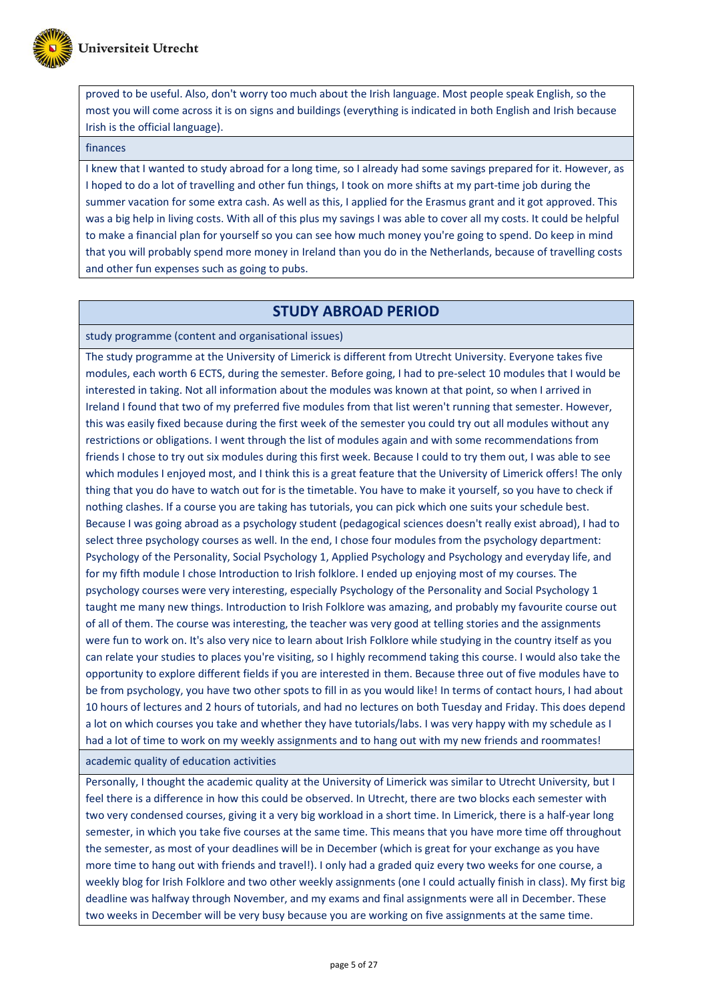

proved to be useful. Also, don't worry too much about the Irish language. Most people speak English, so the most you will come across it is on signs and buildings (everything is indicated in both English and Irish because Irish is the official language).

#### finances

I knew that I wanted to study abroad for a long time, so I already had some savings prepared for it. However, as I hoped to do a lot of travelling and other fun things, I took on more shifts at my part-time job during the summer vacation for some extra cash. As well as this, I applied for the Erasmus grant and it got approved. This was a big help in living costs. With all of this plus my savings I was able to cover all my costs. It could be helpful to make a financial plan for yourself so you can see how much money you're going to spend. Do keep in mind that you will probably spend more money in Ireland than you do in the Netherlands, because of travelling costs and other fun expenses such as going to pubs.

### **STUDY ABROAD PERIOD**

study programme (content and organisational issues)

The study programme at the University of Limerick is different from Utrecht University. Everyone takes five modules, each worth 6 ECTS, during the semester. Before going, I had to pre-select 10 modules that I would be interested in taking. Not all information about the modules was known at that point, so when I arrived in Ireland I found that two of my preferred five modules from that list weren't running that semester. However, this was easily fixed because during the first week of the semester you could try out all modules without any restrictions or obligations. I went through the list of modules again and with some recommendations from friends I chose to try out six modules during this first week. Because I could to try them out, I was able to see which modules I enjoyed most, and I think this is a great feature that the University of Limerick offers! The only thing that you do have to watch out for is the timetable. You have to make it yourself, so you have to check if nothing clashes. If a course you are taking has tutorials, you can pick which one suits your schedule best. Because I was going abroad as a psychology student (pedagogical sciences doesn't really exist abroad), I had to select three psychology courses as well. In the end, I chose four modules from the psychology department: Psychology of the Personality, Social Psychology 1, Applied Psychology and Psychology and everyday life, and for my fifth module I chose Introduction to Irish folklore. I ended up enjoying most of my courses. The psychology courses were very interesting, especially Psychology of the Personality and Social Psychology 1 taught me many new things. Introduction to Irish Folklore was amazing, and probably my favourite course out of all of them. The course was interesting, the teacher was very good at telling stories and the assignments were fun to work on. It's also very nice to learn about Irish Folklore while studying in the country itself as you can relate your studies to places you're visiting, so I highly recommend taking this course. I would also take the opportunity to explore different fields if you are interested in them. Because three out of five modules have to be from psychology, you have two other spots to fill in as you would like! In terms of contact hours, I had about 10 hours of lectures and 2 hours of tutorials, and had no lectures on both Tuesday and Friday. This does depend a lot on which courses you take and whether they have tutorials/labs. I was very happy with my schedule as I had a lot of time to work on my weekly assignments and to hang out with my new friends and roommates!

academic quality of education activities

Personally, I thought the academic quality at the University of Limerick was similar to Utrecht University, but I feel there is a difference in how this could be observed. In Utrecht, there are two blocks each semester with two very condensed courses, giving it a very big workload in a short time. In Limerick, there is a half-year long semester, in which you take five courses at the same time. This means that you have more time off throughout the semester, as most of your deadlines will be in December (which is great for your exchange as you have more time to hang out with friends and travel!). I only had a graded quiz every two weeks for one course, a weekly blog for Irish Folklore and two other weekly assignments (one I could actually finish in class). My first big deadline was halfway through November, and my exams and final assignments were all in December. These two weeks in December will be very busy because you are working on five assignments at the same time.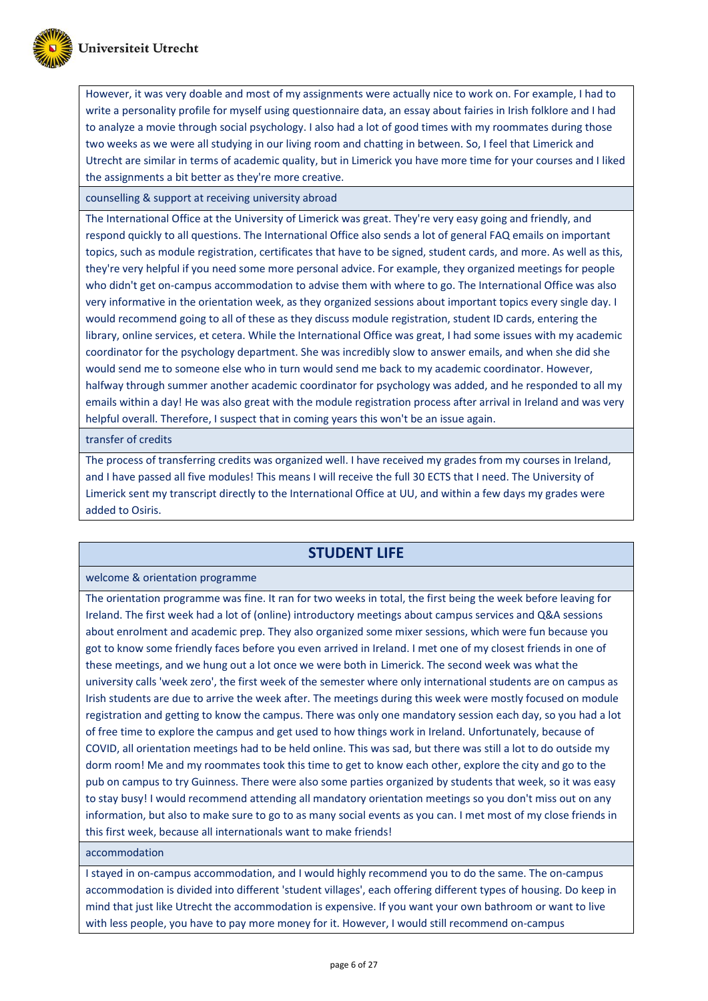

However, it was very doable and most of my assignments were actually nice to work on. For example, I had to write a personality profile for myself using questionnaire data, an essay about fairies in Irish folklore and I had to analyze a movie through social psychology. I also had a lot of good times with my roommates during those two weeks as we were all studying in our living room and chatting in between. So, I feel that Limerick and Utrecht are similar in terms of academic quality, but in Limerick you have more time for your courses and I liked the assignments a bit better as they're more creative.

counselling & support at receiving university abroad

The International Office at the University of Limerick was great. They're very easy going and friendly, and respond quickly to all questions. The International Office also sends a lot of general FAQ emails on important topics, such as module registration, certificates that have to be signed, student cards, and more. As well as this, they're very helpful if you need some more personal advice. For example, they organized meetings for people who didn't get on-campus accommodation to advise them with where to go. The International Office was also very informative in the orientation week, as they organized sessions about important topics every single day. I would recommend going to all of these as they discuss module registration, student ID cards, entering the library, online services, et cetera. While the International Office was great, I had some issues with my academic coordinator for the psychology department. She was incredibly slow to answer emails, and when she did she would send me to someone else who in turn would send me back to my academic coordinator. However, halfway through summer another academic coordinator for psychology was added, and he responded to all my emails within a day! He was also great with the module registration process after arrival in Ireland and was very helpful overall. Therefore, I suspect that in coming years this won't be an issue again.

transfer of credits

The process of transferring credits was organized well. I have received my grades from my courses in Ireland, and I have passed all five modules! This means I will receive the full 30 ECTS that I need. The University of Limerick sent my transcript directly to the International Office at UU, and within a few days my grades were added to Osiris.

### **STUDENT LIFE**

#### welcome & orientation programme

The orientation programme was fine. It ran for two weeks in total, the first being the week before leaving for Ireland. The first week had a lot of (online) introductory meetings about campus services and Q&A sessions about enrolment and academic prep. They also organized some mixer sessions, which were fun because you got to know some friendly faces before you even arrived in Ireland. I met one of my closest friends in one of these meetings, and we hung out a lot once we were both in Limerick. The second week was what the university calls 'week zero', the first week of the semester where only international students are on campus as Irish students are due to arrive the week after. The meetings during this week were mostly focused on module registration and getting to know the campus. There was only one mandatory session each day, so you had a lot of free time to explore the campus and get used to how things work in Ireland. Unfortunately, because of COVID, all orientation meetings had to be held online. This was sad, but there was still a lot to do outside my dorm room! Me and my roommates took this time to get to know each other, explore the city and go to the pub on campus to try Guinness. There were also some parties organized by students that week, so it was easy to stay busy! I would recommend attending all mandatory orientation meetings so you don't miss out on any information, but also to make sure to go to as many social events as you can. I met most of my close friends in this first week, because all internationals want to make friends!

accommodation

I stayed in on-campus accommodation, and I would highly recommend you to do the same. The on-campus accommodation is divided into different 'student villages', each offering different types of housing. Do keep in mind that just like Utrecht the accommodation is expensive. If you want your own bathroom or want to live with less people, you have to pay more money for it. However, I would still recommend on-campus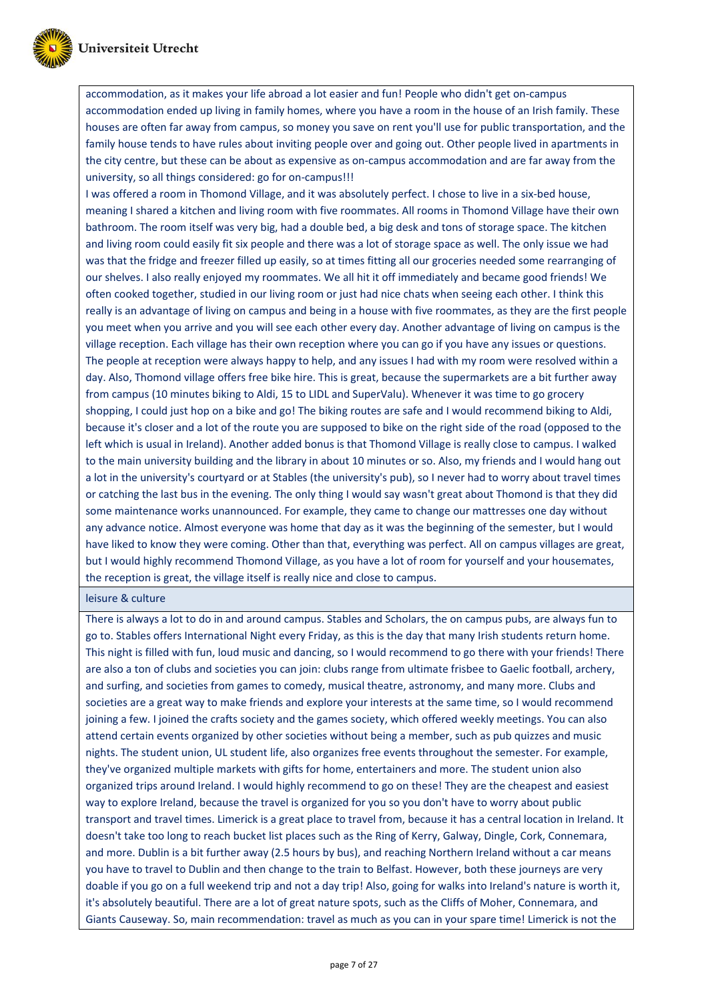

accommodation, as it makes your life abroad a lot easier and fun! People who didn't get on-campus accommodation ended up living in family homes, where you have a room in the house of an Irish family. These houses are often far away from campus, so money you save on rent you'll use for public transportation, and the family house tends to have rules about inviting people over and going out. Other people lived in apartments in the city centre, but these can be about as expensive as on-campus accommodation and are far away from the university, so all things considered: go for on-campus!!!

I was offered a room in Thomond Village, and it was absolutely perfect. I chose to live in a six-bed house, meaning I shared a kitchen and living room with five roommates. All rooms in Thomond Village have their own bathroom. The room itself was very big, had a double bed, a big desk and tons of storage space. The kitchen and living room could easily fit six people and there was a lot of storage space as well. The only issue we had was that the fridge and freezer filled up easily, so at times fitting all our groceries needed some rearranging of our shelves. I also really enjoyed my roommates. We all hit it off immediately and became good friends! We often cooked together, studied in our living room or just had nice chats when seeing each other. I think this really is an advantage of living on campus and being in a house with five roommates, as they are the first people you meet when you arrive and you will see each other every day. Another advantage of living on campus is the village reception. Each village has their own reception where you can go if you have any issues or questions. The people at reception were always happy to help, and any issues I had with my room were resolved within a day. Also, Thomond village offers free bike hire. This is great, because the supermarkets are a bit further away from campus (10 minutes biking to Aldi, 15 to LIDL and SuperValu). Whenever it was time to go grocery shopping, I could just hop on a bike and go! The biking routes are safe and I would recommend biking to Aldi, because it's closer and a lot of the route you are supposed to bike on the right side of the road (opposed to the left which is usual in Ireland). Another added bonus is that Thomond Village is really close to campus. I walked to the main university building and the library in about 10 minutes or so. Also, my friends and I would hang out a lot in the university's courtyard or at Stables (the university's pub), so I never had to worry about travel times or catching the last bus in the evening. The only thing I would say wasn't great about Thomond is that they did some maintenance works unannounced. For example, they came to change our mattresses one day without any advance notice. Almost everyone was home that day as it was the beginning of the semester, but I would have liked to know they were coming. Other than that, everything was perfect. All on campus villages are great, but I would highly recommend Thomond Village, as you have a lot of room for yourself and your housemates, the reception is great, the village itself is really nice and close to campus.

leisure & culture

There is always a lot to do in and around campus. Stables and Scholars, the on campus pubs, are always fun to go to. Stables offers International Night every Friday, as this is the day that many Irish students return home. This night is filled with fun, loud music and dancing, so I would recommend to go there with your friends! There are also a ton of clubs and societies you can join: clubs range from ultimate frisbee to Gaelic football, archery, and surfing, and societies from games to comedy, musical theatre, astronomy, and many more. Clubs and societies are a great way to make friends and explore your interests at the same time, so I would recommend joining a few. I joined the crafts society and the games society, which offered weekly meetings. You can also attend certain events organized by other societies without being a member, such as pub quizzes and music nights. The student union, UL student life, also organizes free events throughout the semester. For example, they've organized multiple markets with gifts for home, entertainers and more. The student union also organized trips around Ireland. I would highly recommend to go on these! They are the cheapest and easiest way to explore Ireland, because the travel is organized for you so you don't have to worry about public transport and travel times. Limerick is a great place to travel from, because it has a central location in Ireland. It doesn't take too long to reach bucket list places such as the Ring of Kerry, Galway, Dingle, Cork, Connemara, and more. Dublin is a bit further away (2.5 hours by bus), and reaching Northern Ireland without a car means you have to travel to Dublin and then change to the train to Belfast. However, both these journeys are very doable if you go on a full weekend trip and not a day trip! Also, going for walks into Ireland's nature is worth it, it's absolutely beautiful. There are a lot of great nature spots, such as the Cliffs of Moher, Connemara, and Giants Causeway. So, main recommendation: travel as much as you can in your spare time! Limerick is not the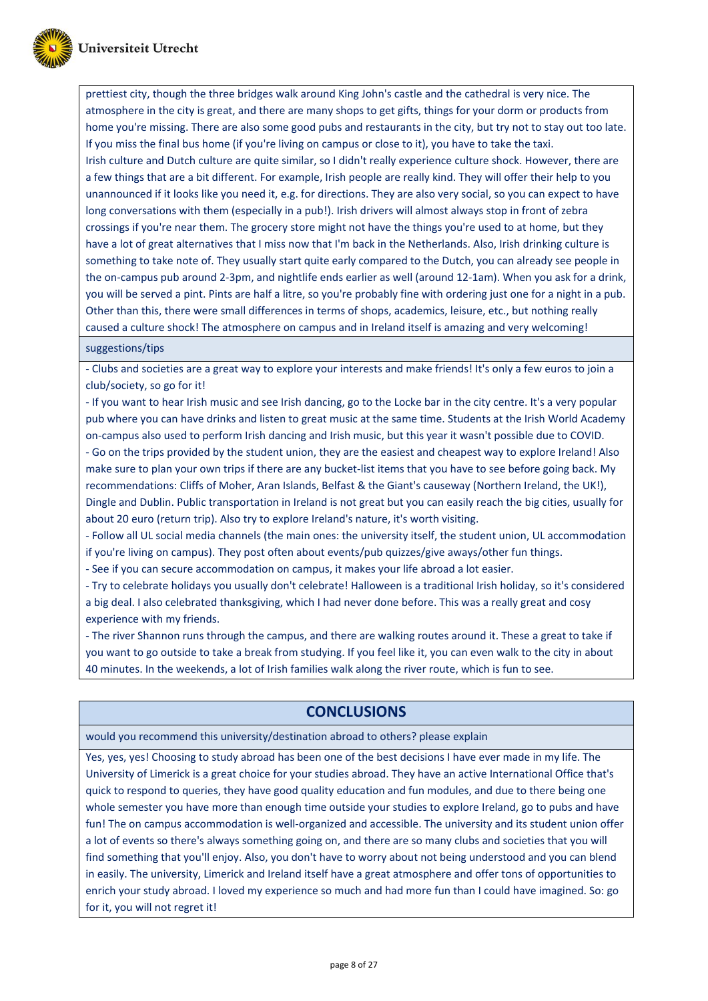

prettiest city, though the three bridges walk around King John's castle and the cathedral is very nice. The atmosphere in the city is great, and there are many shops to get gifts, things for your dorm or products from home you're missing. There are also some good pubs and restaurants in the city, but try not to stay out too late. If you miss the final bus home (if you're living on campus or close to it), you have to take the taxi. Irish culture and Dutch culture are quite similar, so I didn't really experience culture shock. However, there are a few things that are a bit different. For example, Irish people are really kind. They will offer their help to you unannounced if it looks like you need it, e.g. for directions. They are also very social, so you can expect to have long conversations with them (especially in a pub!). Irish drivers will almost always stop in front of zebra crossings if you're near them. The grocery store might not have the things you're used to at home, but they have a lot of great alternatives that I miss now that I'm back in the Netherlands. Also, Irish drinking culture is something to take note of. They usually start quite early compared to the Dutch, you can already see people in the on-campus pub around 2-3pm, and nightlife ends earlier as well (around 12-1am). When you ask for a drink, you will be served a pint. Pints are half a litre, so you're probably fine with ordering just one for a night in a pub. Other than this, there were small differences in terms of shops, academics, leisure, etc., but nothing really caused a culture shock! The atmosphere on campus and in Ireland itself is amazing and very welcoming!

#### suggestions/tips

- Clubs and societies are a great way to explore your interests and make friends! It's only a few euros to join a club/society, so go for it!

- If you want to hear Irish music and see Irish dancing, go to the Locke bar in the city centre. It's a very popular pub where you can have drinks and listen to great music at the same time. Students at the Irish World Academy on-campus also used to perform Irish dancing and Irish music, but this year it wasn't possible due to COVID. - Go on the trips provided by the student union, they are the easiest and cheapest way to explore Ireland! Also make sure to plan your own trips if there are any bucket-list items that you have to see before going back. My recommendations: Cliffs of Moher, Aran Islands, Belfast & the Giant's causeway (Northern Ireland, the UK!), Dingle and Dublin. Public transportation in Ireland is not great but you can easily reach the big cities, usually for about 20 euro (return trip). Also try to explore Ireland's nature, it's worth visiting.

- Follow all UL social media channels (the main ones: the university itself, the student union, UL accommodation if you're living on campus). They post often about events/pub quizzes/give aways/other fun things.

- See if you can secure accommodation on campus, it makes your life abroad a lot easier.

- Try to celebrate holidays you usually don't celebrate! Halloween is a traditional Irish holiday, so it's considered a big deal. I also celebrated thanksgiving, which I had never done before. This was a really great and cosy experience with my friends.

- The river Shannon runs through the campus, and there are walking routes around it. These a great to take if you want to go outside to take a break from studying. If you feel like it, you can even walk to the city in about 40 minutes. In the weekends, a lot of Irish families walk along the river route, which is fun to see.

# **CONCLUSIONS**

would you recommend this university/destination abroad to others? please explain

Yes, yes, yes! Choosing to study abroad has been one of the best decisions I have ever made in my life. The University of Limerick is a great choice for your studies abroad. They have an active International Office that's quick to respond to queries, they have good quality education and fun modules, and due to there being one whole semester you have more than enough time outside your studies to explore Ireland, go to pubs and have fun! The on campus accommodation is well-organized and accessible. The university and its student union offer a lot of events so there's always something going on, and there are so many clubs and societies that you will find something that you'll enjoy. Also, you don't have to worry about not being understood and you can blend in easily. The university, Limerick and Ireland itself have a great atmosphere and offer tons of opportunities to enrich your study abroad. I loved my experience so much and had more fun than I could have imagined. So: go for it, you will not regret it!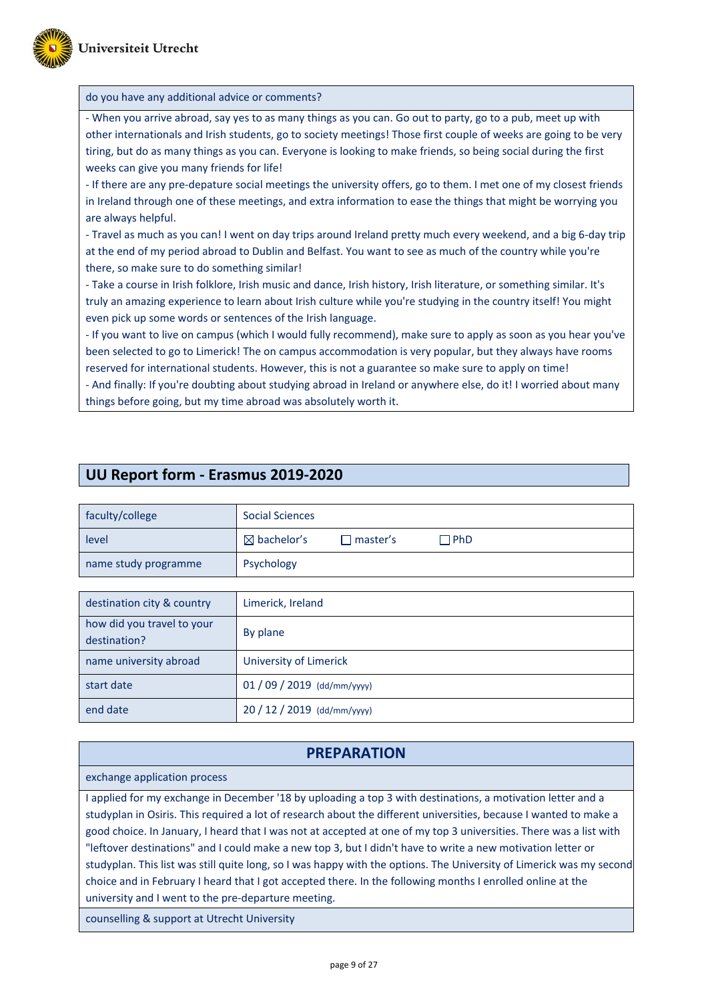

#### do you have any additional advice or comments?

**UU Report form - Erasmus 2019-2020**

- When you arrive abroad, say yes to as many things as you can. Go out to party, go to a pub, meet up with other internationals and Irish students, go to society meetings! Those first couple of weeks are going to be very tiring, but do as many things as you can. Everyone is looking to make friends, so being social during the first weeks can give you many friends for life!

- If there are any pre-depature social meetings the university offers, go to them. I met one of my closest friends in Ireland through one of these meetings, and extra information to ease the things that might be worrying you are always helpful.

- Travel as much as you can! I went on day trips around Ireland pretty much every weekend, and a big 6-day trip at the end of my period abroad to Dublin and Belfast. You want to see as much of the country while you're there, so make sure to do something similar!

- Take a course in Irish folklore, Irish music and dance, Irish history, Irish literature, or something similar. It's truly an amazing experience to learn about Irish culture while you're studying in the country itself! You might even pick up some words or sentences of the Irish language.

- If you want to live on campus (which I would fully recommend), make sure to apply as soon as you hear you've been selected to go to Limerick! The on campus accommodation is very popular, but they always have rooms reserved for international students. However, this is not a guarantee so make sure to apply on time!

- And finally: If you're doubting about studying abroad in Ireland or anywhere else, do it! I worried about many things before going, but my time abroad was absolutely worth it.

# faculty/college Social Sciences level and a set of a bachelor's D master's D PhD name study programme | Psychology destination city & country Limerick, Ireland how did you travel to your destination? By plane

| name university abroad | University of Limerick    |  |
|------------------------|---------------------------|--|
| start date             | $01/09/2019$ (dd/mm/yyyy) |  |
| end date               | $20/12/2019$ (dd/mm/yyyy) |  |

# **PREPARATION**

exchange application process

I applied for my exchange in December '18 by uploading a top 3 with destinations, a motivation letter and a studyplan in Osiris. This required a lot of research about the different universities, because I wanted to make a good choice. In January, I heard that I was not at accepted at one of my top 3 universities. There was a list with "leftover destinations" and I could make a new top 3, but I didn't have to write a new motivation letter or studyplan. This list was still quite long, so I was happy with the options. The University of Limerick was my second choice and in February I heard that I got accepted there. In the following months I enrolled online at the university and I went to the pre-departure meeting.

counselling & support at Utrecht University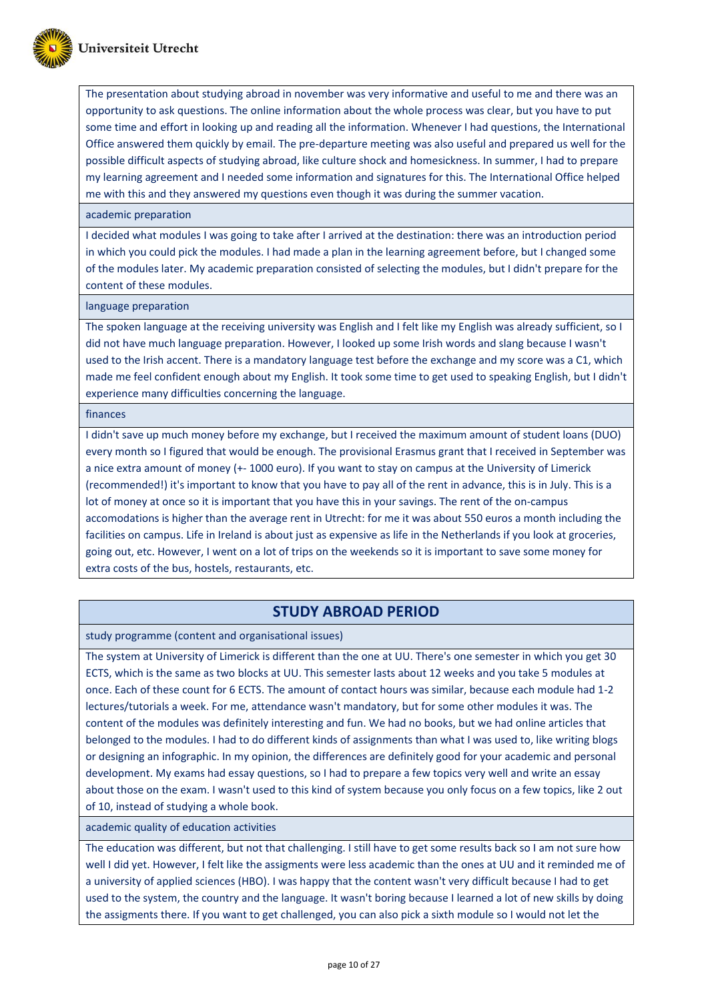

The presentation about studying abroad in november was very informative and useful to me and there was an opportunity to ask questions. The online information about the whole process was clear, but you have to put some time and effort in looking up and reading all the information. Whenever I had questions, the International Office answered them quickly by email. The pre-departure meeting was also useful and prepared us well for the possible difficult aspects of studying abroad, like culture shock and homesickness. In summer, I had to prepare my learning agreement and I needed some information and signatures for this. The International Office helped me with this and they answered my questions even though it was during the summer vacation.

#### academic preparation

I decided what modules I was going to take after I arrived at the destination: there was an introduction period in which you could pick the modules. I had made a plan in the learning agreement before, but I changed some of the modules later. My academic preparation consisted of selecting the modules, but I didn't prepare for the content of these modules.

language preparation

The spoken language at the receiving university was English and I felt like my English was already sufficient, so I did not have much language preparation. However, I looked up some Irish words and slang because I wasn't used to the Irish accent. There is a mandatory language test before the exchange and my score was a C1, which made me feel confident enough about my English. It took some time to get used to speaking English, but I didn't experience many difficulties concerning the language.

#### finances

I didn't save up much money before my exchange, but I received the maximum amount of student loans (DUO) every month so I figured that would be enough. The provisional Erasmus grant that I received in September was a nice extra amount of money (+- 1000 euro). If you want to stay on campus at the University of Limerick (recommended!) it's important to know that you have to pay all of the rent in advance, this is in July. This is a lot of money at once so it is important that you have this in your savings. The rent of the on-campus accomodations is higher than the average rent in Utrecht: for me it was about 550 euros a month including the facilities on campus. Life in Ireland is about just as expensive as life in the Netherlands if you look at groceries, going out, etc. However, I went on a lot of trips on the weekends so it is important to save some money for extra costs of the bus, hostels, restaurants, etc.

### **STUDY ABROAD PERIOD**

study programme (content and organisational issues)

The system at University of Limerick is different than the one at UU. There's one semester in which you get 30 ECTS, which is the same as two blocks at UU. This semester lasts about 12 weeks and you take 5 modules at once. Each of these count for 6 ECTS. The amount of contact hours was similar, because each module had 1-2 lectures/tutorials a week. For me, attendance wasn't mandatory, but for some other modules it was. The content of the modules was definitely interesting and fun. We had no books, but we had online articles that belonged to the modules. I had to do different kinds of assignments than what I was used to, like writing blogs or designing an infographic. In my opinion, the differences are definitely good for your academic and personal development. My exams had essay questions, so I had to prepare a few topics very well and write an essay about those on the exam. I wasn't used to this kind of system because you only focus on a few topics, like 2 out of 10, instead of studying a whole book.

#### academic quality of education activities

The education was different, but not that challenging. I still have to get some results back so I am not sure how well I did yet. However, I felt like the assigments were less academic than the ones at UU and it reminded me of a university of applied sciences (HBO). I was happy that the content wasn't very difficult because I had to get used to the system, the country and the language. It wasn't boring because I learned a lot of new skills by doing the assigments there. If you want to get challenged, you can also pick a sixth module so I would not let the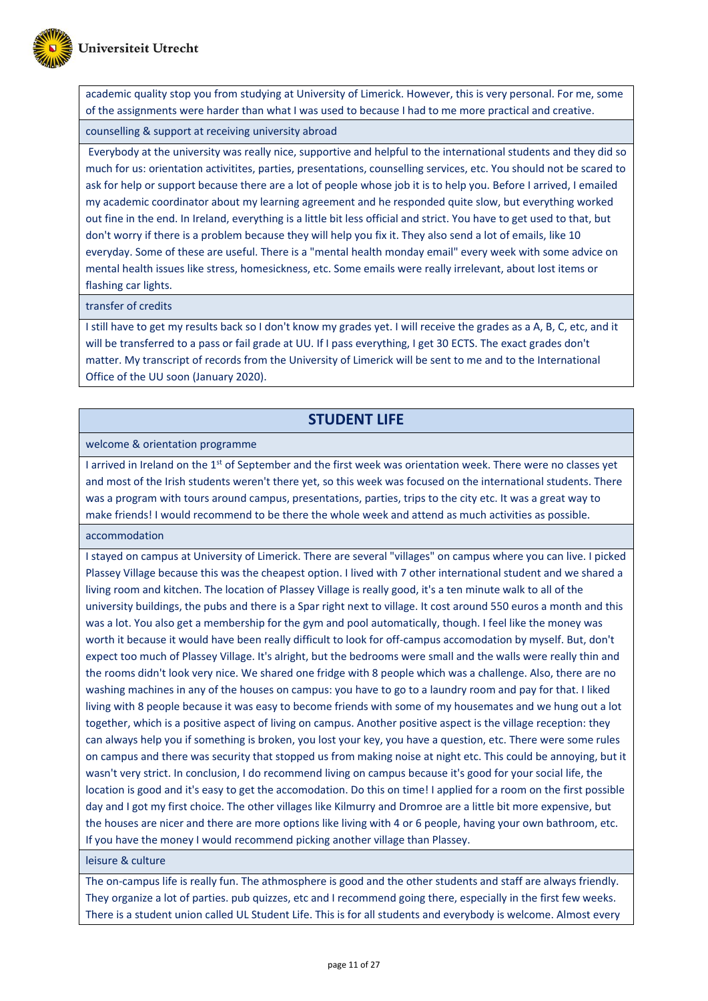

academic quality stop you from studying at University of Limerick. However, this is very personal. For me, some of the assignments were harder than what I was used to because I had to me more practical and creative.

#### counselling & support at receiving university abroad

Everybody at the university was really nice, supportive and helpful to the international students and they did so much for us: orientation activitites, parties, presentations, counselling services, etc. You should not be scared to ask for help or support because there are a lot of people whose job it is to help you. Before I arrived, I emailed my academic coordinator about my learning agreement and he responded quite slow, but everything worked out fine in the end. In Ireland, everything is a little bit less official and strict. You have to get used to that, but don't worry if there is a problem because they will help you fix it. They also send a lot of emails, like 10 everyday. Some of these are useful. There is a "mental health monday email" every week with some advice on mental health issues like stress, homesickness, etc. Some emails were really irrelevant, about lost items or flashing car lights.

#### transfer of credits

I still have to get my results back so I don't know my grades yet. I will receive the grades as a A, B, C, etc, and it will be transferred to a pass or fail grade at UU. If I pass everything, I get 30 ECTS. The exact grades don't matter. My transcript of records from the University of Limerick will be sent to me and to the International Office of the UU soon (January 2020).

# **STUDENT LIFE**

welcome & orientation programme

I arrived in Ireland on the 1<sup>st</sup> of September and the first week was orientation week. There were no classes yet and most of the Irish students weren't there yet, so this week was focused on the international students. There was a program with tours around campus, presentations, parties, trips to the city etc. It was a great way to make friends! I would recommend to be there the whole week and attend as much activities as possible.

accommodation

I stayed on campus at University of Limerick. There are several "villages" on campus where you can live. I picked Plassey Village because this was the cheapest option. I lived with 7 other international student and we shared a living room and kitchen. The location of Plassey Village is really good, it's a ten minute walk to all of the university buildings, the pubs and there is a Spar right next to village. It cost around 550 euros a month and this was a lot. You also get a membership for the gym and pool automatically, though. I feel like the money was worth it because it would have been really difficult to look for off-campus accomodation by myself. But, don't expect too much of Plassey Village. It's alright, but the bedrooms were small and the walls were really thin and the rooms didn't look very nice. We shared one fridge with 8 people which was a challenge. Also, there are no washing machines in any of the houses on campus: you have to go to a laundry room and pay for that. I liked living with 8 people because it was easy to become friends with some of my housemates and we hung out a lot together, which is a positive aspect of living on campus. Another positive aspect is the village reception: they can always help you if something is broken, you lost your key, you have a question, etc. There were some rules on campus and there was security that stopped us from making noise at night etc. This could be annoying, but it wasn't very strict. In conclusion, I do recommend living on campus because it's good for your social life, the location is good and it's easy to get the accomodation. Do this on time! I applied for a room on the first possible day and I got my first choice. The other villages like Kilmurry and Dromroe are a little bit more expensive, but the houses are nicer and there are more options like living with 4 or 6 people, having your own bathroom, etc. If you have the money I would recommend picking another village than Plassey.

#### leisure & culture

The on-campus life is really fun. The athmosphere is good and the other students and staff are always friendly. They organize a lot of parties. pub quizzes, etc and I recommend going there, especially in the first few weeks. There is a student union called UL Student Life. This is for all students and everybody is welcome. Almost every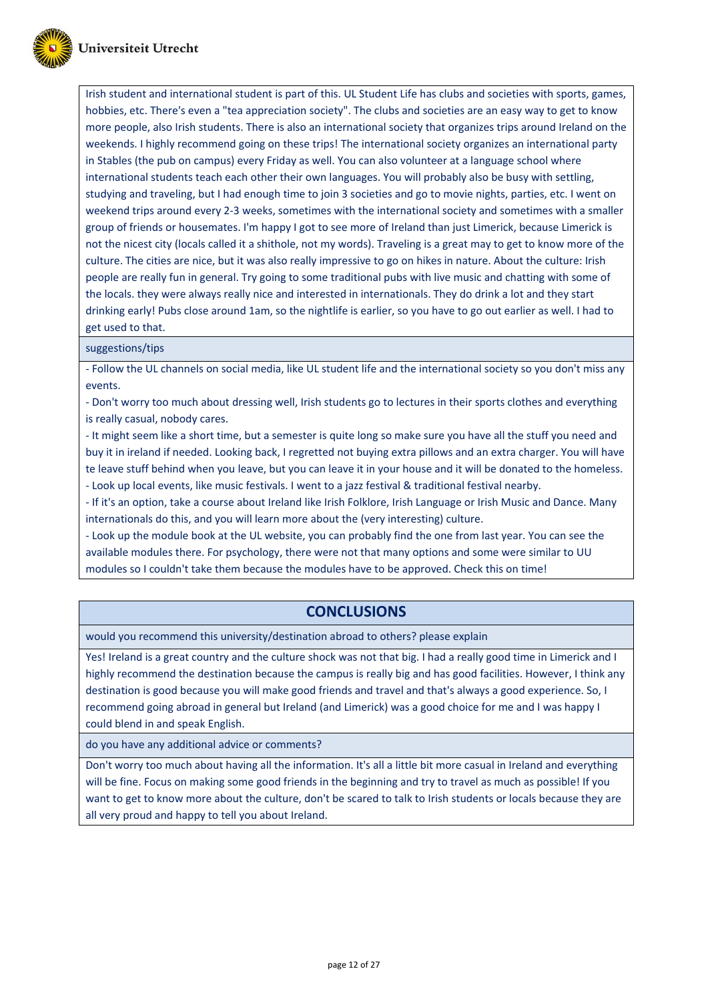

Irish student and international student is part of this. UL Student Life has clubs and societies with sports, games, hobbies, etc. There's even a "tea appreciation society". The clubs and societies are an easy way to get to know more people, also Irish students. There is also an international society that organizes trips around Ireland on the weekends. I highly recommend going on these trips! The international society organizes an international party in Stables (the pub on campus) every Friday as well. You can also volunteer at a language school where international students teach each other their own languages. You will probably also be busy with settling, studying and traveling, but I had enough time to join 3 societies and go to movie nights, parties, etc. I went on weekend trips around every 2-3 weeks, sometimes with the international society and sometimes with a smaller group of friends or housemates. I'm happy I got to see more of Ireland than just Limerick, because Limerick is not the nicest city (locals called it a shithole, not my words). Traveling is a great may to get to know more of the culture. The cities are nice, but it was also really impressive to go on hikes in nature. About the culture: Irish people are really fun in general. Try going to some traditional pubs with live music and chatting with some of the locals. they were always really nice and interested in internationals. They do drink a lot and they start drinking early! Pubs close around 1am, so the nightlife is earlier, so you have to go out earlier as well. I had to get used to that.

suggestions/tips

- Follow the UL channels on social media, like UL student life and the international society so you don't miss any events.

- Don't worry too much about dressing well, Irish students go to lectures in their sports clothes and everything is really casual, nobody cares.

- It might seem like a short time, but a semester is quite long so make sure you have all the stuff you need and buy it in ireland if needed. Looking back, I regretted not buying extra pillows and an extra charger. You will have te leave stuff behind when you leave, but you can leave it in your house and it will be donated to the homeless. - Look up local events, like music festivals. I went to a jazz festival & traditional festival nearby.

- If it's an option, take a course about Ireland like Irish Folklore, Irish Language or Irish Music and Dance. Many internationals do this, and you will learn more about the (very interesting) culture.

- Look up the module book at the UL website, you can probably find the one from last year. You can see the available modules there. For psychology, there were not that many options and some were similar to UU modules so I couldn't take them because the modules have to be approved. Check this on time!

### **CONCLUSIONS**

would you recommend this university/destination abroad to others? please explain

Yes! Ireland is a great country and the culture shock was not that big. I had a really good time in Limerick and I highly recommend the destination because the campus is really big and has good facilities. However, I think any destination is good because you will make good friends and travel and that's always a good experience. So, I recommend going abroad in general but Ireland (and Limerick) was a good choice for me and I was happy I could blend in and speak English.

do you have any additional advice or comments?

Don't worry too much about having all the information. It's all a little bit more casual in Ireland and everything will be fine. Focus on making some good friends in the beginning and try to travel as much as possible! If you want to get to know more about the culture, don't be scared to talk to Irish students or locals because they are all very proud and happy to tell you about Ireland.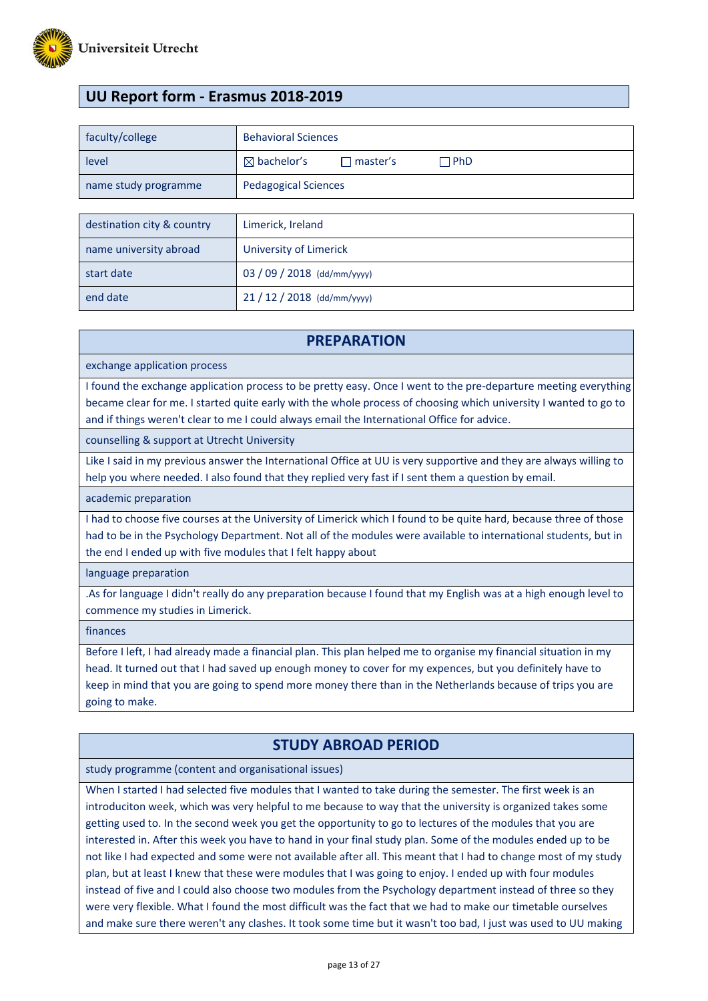

# **UU Report form - Erasmus 2018-2019**

| faculty/college      | <b>Behavioral Sciences</b>                              |  |
|----------------------|---------------------------------------------------------|--|
| level                | $\boxtimes$ bachelor's<br>$\Box$ PhD<br>$\Box$ master's |  |
| name study programme | <b>Pedagogical Sciences</b>                             |  |
|                      |                                                         |  |
|                      |                                                         |  |

| destination city & country | Limerick, Ireland         |
|----------------------------|---------------------------|
| name university abroad     | University of Limerick    |
| start date                 | $03/09/2018$ (dd/mm/yyyy) |
| end date                   | $21/12/2018$ (dd/mm/yyyy) |

### **PREPARATION**

exchange application process

I found the exchange application process to be pretty easy. Once I went to the pre-departure meeting everything became clear for me. I started quite early with the whole process of choosing which university I wanted to go to and if things weren't clear to me I could always email the International Office for advice.

counselling & support at Utrecht University

Like I said in my previous answer the International Office at UU is very supportive and they are always willing to help you where needed. I also found that they replied very fast if I sent them a question by email.

academic preparation

I had to choose five courses at the University of Limerick which I found to be quite hard, because three of those had to be in the Psychology Department. Not all of the modules were available to international students, but in the end I ended up with five modules that I felt happy about

language preparation

.As for language I didn't really do any preparation because I found that my English was at a high enough level to commence my studies in Limerick.

finances

Before I left, I had already made a financial plan. This plan helped me to organise my financial situation in my head. It turned out that I had saved up enough money to cover for my expences, but you definitely have to keep in mind that you are going to spend more money there than in the Netherlands because of trips you are going to make.

### **STUDY ABROAD PERIOD**

study programme (content and organisational issues)

When I started I had selected five modules that I wanted to take during the semester. The first week is an introduciton week, which was very helpful to me because to way that the university is organized takes some getting used to. In the second week you get the opportunity to go to lectures of the modules that you are interested in. After this week you have to hand in your final study plan. Some of the modules ended up to be not like I had expected and some were not available after all. This meant that I had to change most of my study plan, but at least I knew that these were modules that I was going to enjoy. I ended up with four modules instead of five and I could also choose two modules from the Psychology department instead of three so they were very flexible. What I found the most difficult was the fact that we had to make our timetable ourselves and make sure there weren't any clashes. It took some time but it wasn't too bad, I just was used to UU making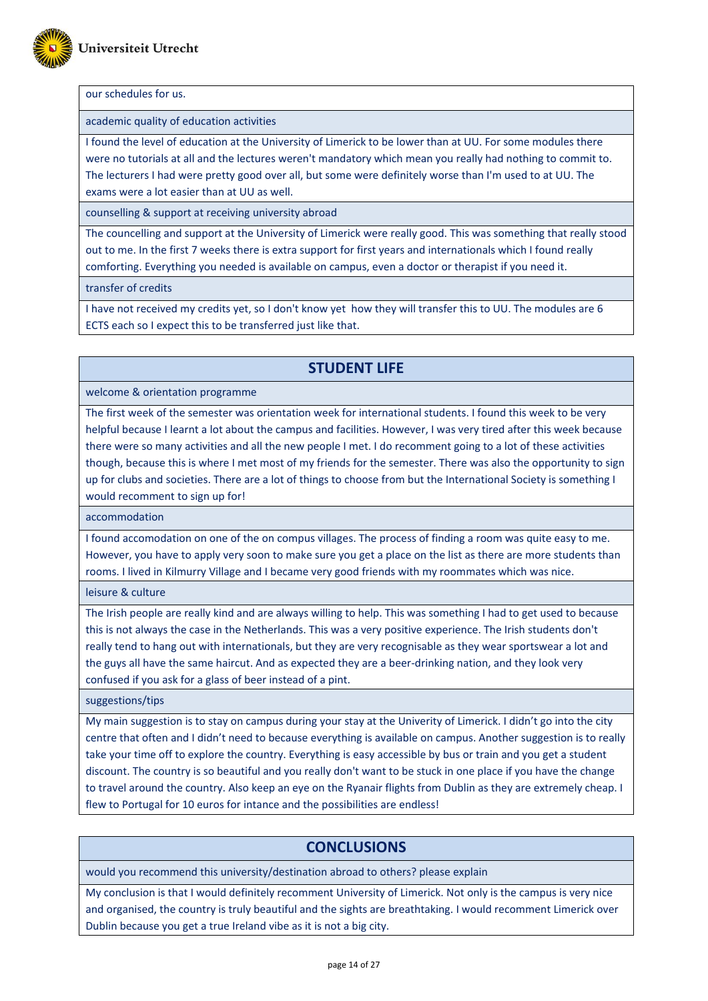

#### our schedules for us.

academic quality of education activities

I found the level of education at the University of Limerick to be lower than at UU. For some modules there were no tutorials at all and the lectures weren't mandatory which mean you really had nothing to commit to. The lecturers I had were pretty good over all, but some were definitely worse than I'm used to at UU. The exams were a lot easier than at UU as well.

counselling & support at receiving university abroad

The councelling and support at the University of Limerick were really good. This was something that really stood out to me. In the first 7 weeks there is extra support for first years and internationals which I found really comforting. Everything you needed is available on campus, even a doctor or therapist if you need it.

transfer of credits

I have not received my credits yet, so I don't know yet how they will transfer this to UU. The modules are 6 ECTS each so I expect this to be transferred just like that.

### **STUDENT LIFE**

welcome & orientation programme

The first week of the semester was orientation week for international students. I found this week to be very helpful because I learnt a lot about the campus and facilities. However, I was very tired after this week because there were so many activities and all the new people I met. I do recomment going to a lot of these activities though, because this is where I met most of my friends for the semester. There was also the opportunity to sign up for clubs and societies. There are a lot of things to choose from but the International Society is something I would recomment to sign up for!

accommodation

I found accomodation on one of the on compus villages. The process of finding a room was quite easy to me. However, you have to apply very soon to make sure you get a place on the list as there are more students than rooms. I lived in Kilmurry Village and I became very good friends with my roommates which was nice.

leisure & culture

The Irish people are really kind and are always willing to help. This was something I had to get used to because this is not always the case in the Netherlands. This was a very positive experience. The Irish students don't really tend to hang out with internationals, but they are very recognisable as they wear sportswear a lot and the guys all have the same haircut. And as expected they are a beer-drinking nation, and they look very confused if you ask for a glass of beer instead of a pint.

suggestions/tips

My main suggestion is to stay on campus during your stay at the Univerity of Limerick. I didn't go into the city centre that often and I didn't need to because everything is available on campus. Another suggestion is to really take your time off to explore the country. Everything is easy accessible by bus or train and you get a student discount. The country is so beautiful and you really don't want to be stuck in one place if you have the change to travel around the country. Also keep an eye on the Ryanair flights from Dublin as they are extremely cheap. I flew to Portugal for 10 euros for intance and the possibilities are endless!

### **CONCLUSIONS**

would you recommend this university/destination abroad to others? please explain

My conclusion is that I would definitely recomment University of Limerick. Not only is the campus is very nice and organised, the country is truly beautiful and the sights are breathtaking. I would recomment Limerick over Dublin because you get a true Ireland vibe as it is not a big city.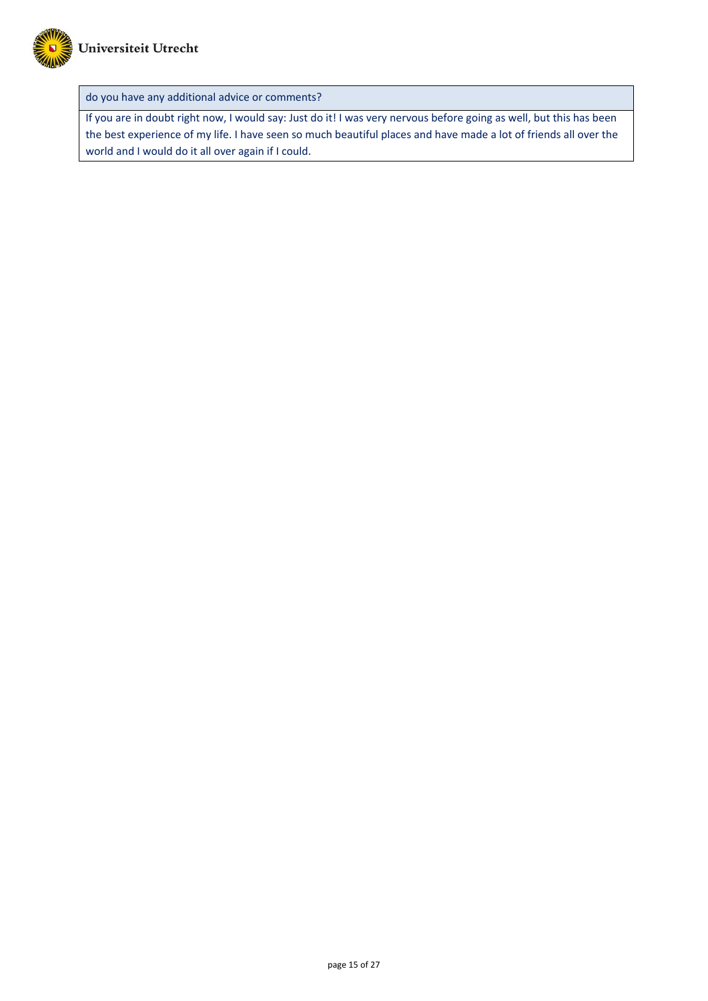

do you have any additional advice or comments?

If you are in doubt right now, I would say: Just do it! I was very nervous before going as well, but this has been the best experience of my life. I have seen so much beautiful places and have made a lot of friends all over the world and I would do it all over again if I could.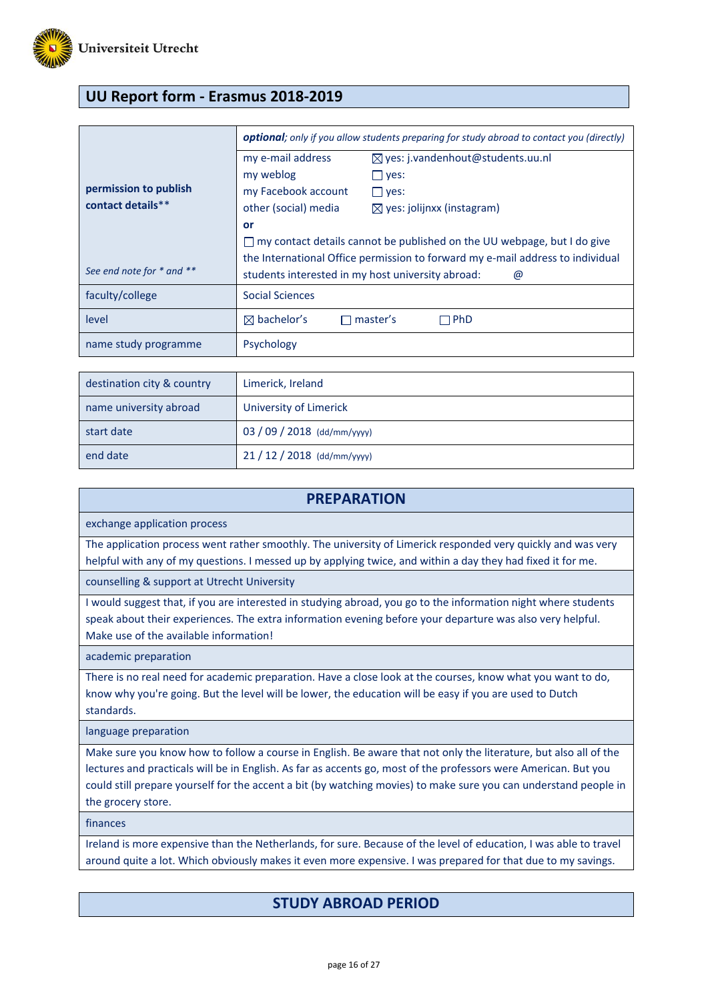

# **UU Report form - Erasmus 2018-2019**

|                           | <b>optional</b> ; only if you allow students preparing for study abroad to contact you (directly) |                                              |  |  |
|---------------------------|---------------------------------------------------------------------------------------------------|----------------------------------------------|--|--|
|                           | my e-mail address                                                                                 | $\boxtimes$ yes: j.vandenhout@students.uu.nl |  |  |
|                           | my weblog                                                                                         | $\Box$ yes:                                  |  |  |
| permission to publish     | my Facebook account                                                                               | $\Box$ yes:                                  |  |  |
| contact details**         | other (social) media                                                                              | $\boxtimes$ yes: jolijnxx (instagram)        |  |  |
|                           | or                                                                                                |                                              |  |  |
|                           | $\Box$ my contact details cannot be published on the UU webpage, but I do give                    |                                              |  |  |
|                           | the International Office permission to forward my e-mail address to individual                    |                                              |  |  |
| See end note for * and ** | students interested in my host university abroad:<br>@                                            |                                              |  |  |
| faculty/college           | Social Sciences                                                                                   |                                              |  |  |
| level                     | $\boxtimes$ bachelor's                                                                            | master's<br>∃PhD                             |  |  |
| name study programme      | Psychology                                                                                        |                                              |  |  |

| destination city & country | Limerick, Ireland           |
|----------------------------|-----------------------------|
| name university abroad     | University of Limerick      |
| start date                 | 03 / 09 / 2018 (dd/mm/yyyy) |
| end date                   | $21/12/2018$ (dd/mm/yyyy)   |

| <b>PREPARATION</b>                                                                                                                                                                                                                                                                                                                                                            |
|-------------------------------------------------------------------------------------------------------------------------------------------------------------------------------------------------------------------------------------------------------------------------------------------------------------------------------------------------------------------------------|
| exchange application process                                                                                                                                                                                                                                                                                                                                                  |
| The application process went rather smoothly. The university of Limerick responded very quickly and was very<br>helpful with any of my questions. I messed up by applying twice, and within a day they had fixed it for me.                                                                                                                                                   |
| counselling & support at Utrecht University                                                                                                                                                                                                                                                                                                                                   |
| I would suggest that, if you are interested in studying abroad, you go to the information night where students<br>speak about their experiences. The extra information evening before your departure was also very helpful.<br>Make use of the available information!                                                                                                         |
| academic preparation                                                                                                                                                                                                                                                                                                                                                          |
| There is no real need for academic preparation. Have a close look at the courses, know what you want to do,<br>know why you're going. But the level will be lower, the education will be easy if you are used to Dutch<br>standards.                                                                                                                                          |
| language preparation                                                                                                                                                                                                                                                                                                                                                          |
| Make sure you know how to follow a course in English. Be aware that not only the literature, but also all of the<br>lectures and practicals will be in English. As far as accents go, most of the professors were American. But you<br>could still prepare yourself for the accent a bit (by watching movies) to make sure you can understand people in<br>the grocery store. |

finances

Ireland is more expensive than the Netherlands, for sure. Because of the level of education, I was able to travel around quite a lot. Which obviously makes it even more expensive. I was prepared for that due to my savings.

# **STUDY ABROAD PERIOD**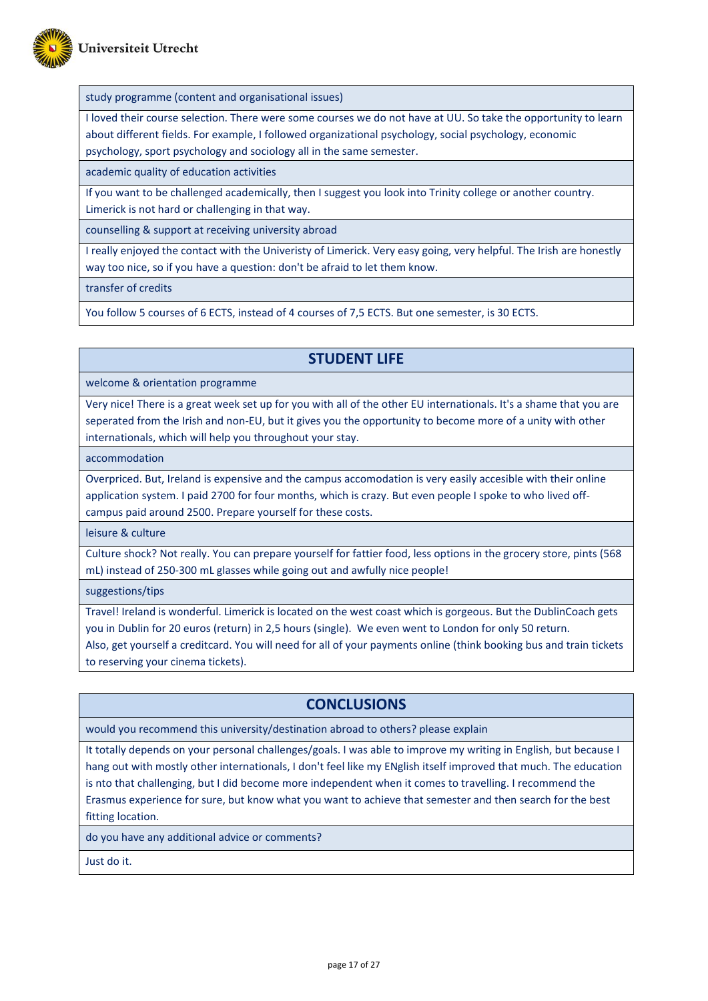

study programme (content and organisational issues)

I loved their course selection. There were some courses we do not have at UU. So take the opportunity to learn about different fields. For example, I followed organizational psychology, social psychology, economic psychology, sport psychology and sociology all in the same semester.

academic quality of education activities

If you want to be challenged academically, then I suggest you look into Trinity college or another country. Limerick is not hard or challenging in that way.

counselling & support at receiving university abroad

I really enjoyed the contact with the Univeristy of Limerick. Very easy going, very helpful. The Irish are honestly way too nice, so if you have a question: don't be afraid to let them know.

transfer of credits

You follow 5 courses of 6 ECTS, instead of 4 courses of 7,5 ECTS. But one semester, is 30 ECTS.

### **STUDENT LIFE**

welcome & orientation programme

Very nice! There is a great week set up for you with all of the other EU internationals. It's a shame that you are seperated from the Irish and non-EU, but it gives you the opportunity to become more of a unity with other internationals, which will help you throughout your stay.

accommodation

Overpriced. But, Ireland is expensive and the campus accomodation is very easily accesible with their online application system. I paid 2700 for four months, which is crazy. But even people I spoke to who lived offcampus paid around 2500. Prepare yourself for these costs.

leisure & culture

Culture shock? Not really. You can prepare yourself for fattier food, less options in the grocery store, pints (568 mL) instead of 250-300 mL glasses while going out and awfully nice people!

suggestions/tips

Travel! Ireland is wonderful. Limerick is located on the west coast which is gorgeous. But the DublinCoach gets you in Dublin for 20 euros (return) in 2,5 hours (single). We even went to London for only 50 return.

Also, get yourself a creditcard. You will need for all of your payments online (think booking bus and train tickets to reserving your cinema tickets).

### **CONCLUSIONS**

would you recommend this university/destination abroad to others? please explain

It totally depends on your personal challenges/goals. I was able to improve my writing in English, but because I hang out with mostly other internationals, I don't feel like my ENglish itself improved that much. The education is nto that challenging, but I did become more independent when it comes to travelling. I recommend the Erasmus experience for sure, but know what you want to achieve that semester and then search for the best fitting location.

do you have any additional advice or comments?

Just do it.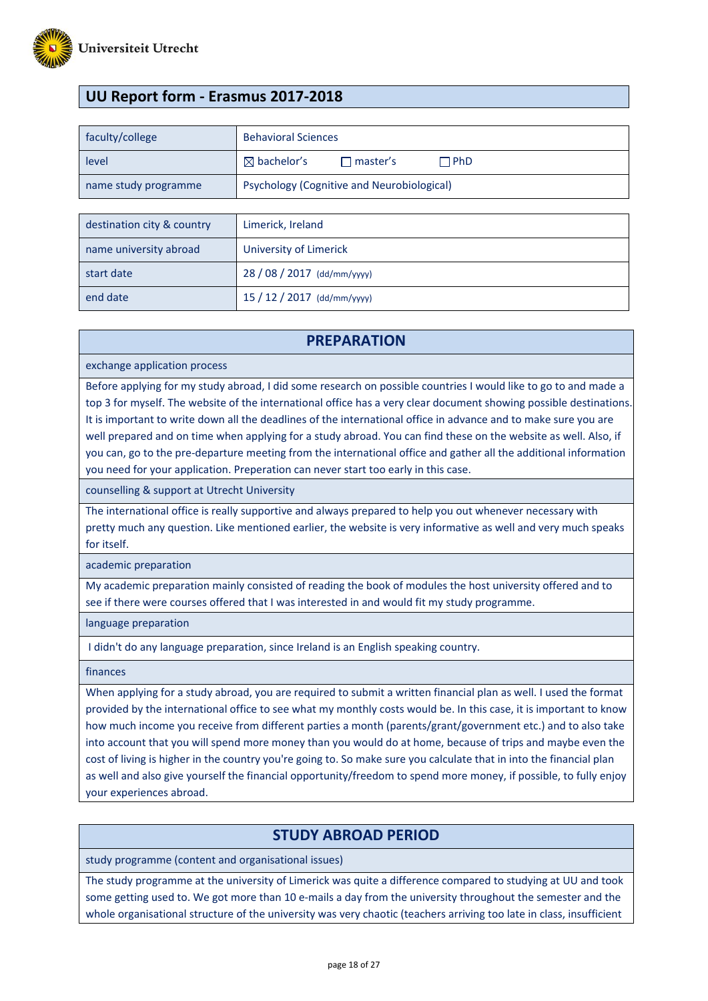

# **UU Report form - Erasmus 2017-2018**

| faculty/college      | <b>Behavioral Sciences</b>                                   |  |
|----------------------|--------------------------------------------------------------|--|
| level                | $\boxtimes$ bachelor's<br>$\sqcap$ PhD.<br>$\sqcap$ master's |  |
| name study programme | <b>Psychology (Cognitive and Neurobiological)</b>            |  |

| destination city & country | Limerick, Ireland           |
|----------------------------|-----------------------------|
| name university abroad     | University of Limerick      |
| start date                 | 28 / 08 / 2017 (dd/mm/yyyy) |
| end date                   | $15/12/2017$ (dd/mm/yyyy)   |

### **PREPARATION**

exchange application process

Before applying for my study abroad, I did some research on possible countries I would like to go to and made a top 3 for myself. The website of the international office has a very clear document showing possible destinations. It is important to write down all the deadlines of the international office in advance and to make sure you are well prepared and on time when applying for a study abroad. You can find these on the website as well. Also, if you can, go to the pre-departure meeting from the international office and gather all the additional information you need for your application. Preperation can never start too early in this case.

counselling & support at Utrecht University

The international office is really supportive and always prepared to help you out whenever necessary with pretty much any question. Like mentioned earlier, the website is very informative as well and very much speaks for itself.

academic preparation

My academic preparation mainly consisted of reading the book of modules the host university offered and to see if there were courses offered that I was interested in and would fit my study programme.

language preparation

I didn't do any language preparation, since Ireland is an English speaking country.

finances

When applying for a study abroad, you are required to submit a written financial plan as well. I used the format provided by the international office to see what my monthly costs would be. In this case, it is important to know how much income you receive from different parties a month (parents/grant/government etc.) and to also take into account that you will spend more money than you would do at home, because of trips and maybe even the cost of living is higher in the country you're going to. So make sure you calculate that in into the financial plan as well and also give yourself the financial opportunity/freedom to spend more money, if possible, to fully enjoy your experiences abroad.

### **STUDY ABROAD PERIOD**

study programme (content and organisational issues)

The study programme at the university of Limerick was quite a difference compared to studying at UU and took some getting used to. We got more than 10 e-mails a day from the university throughout the semester and the whole organisational structure of the university was very chaotic (teachers arriving too late in class, insufficient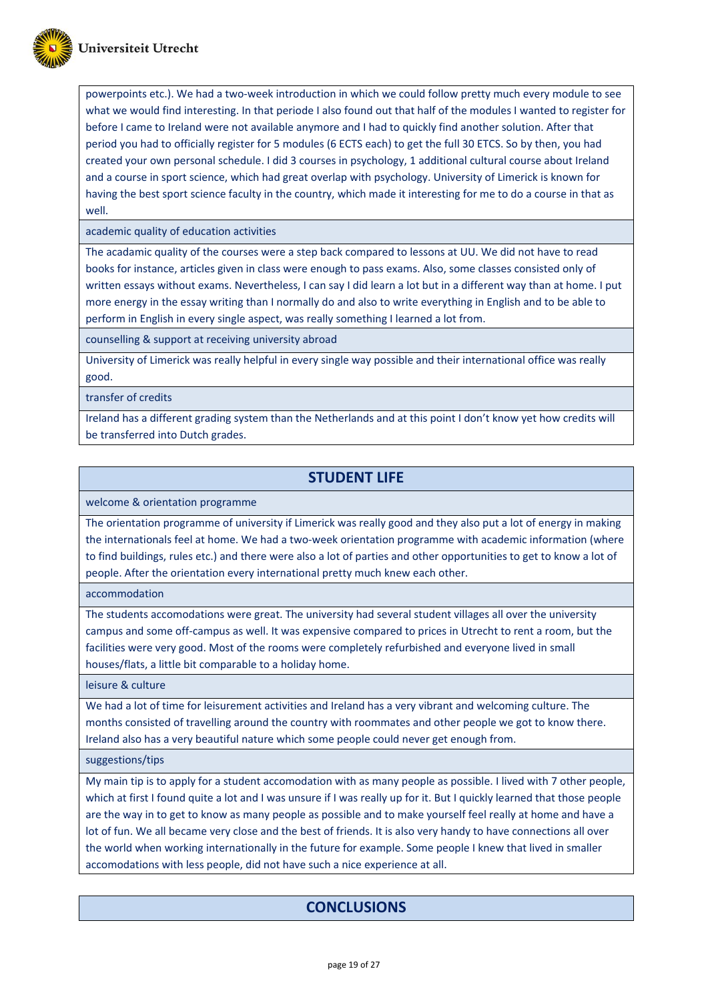

powerpoints etc.). We had a two-week introduction in which we could follow pretty much every module to see what we would find interesting. In that periode I also found out that half of the modules I wanted to register for before I came to Ireland were not available anymore and I had to quickly find another solution. After that period you had to officially register for 5 modules (6 ECTS each) to get the full 30 ETCS. So by then, you had created your own personal schedule. I did 3 courses in psychology, 1 additional cultural course about Ireland and a course in sport science, which had great overlap with psychology. University of Limerick is known for having the best sport science faculty in the country, which made it interesting for me to do a course in that as well.

academic quality of education activities

The acadamic quality of the courses were a step back compared to lessons at UU. We did not have to read books for instance, articles given in class were enough to pass exams. Also, some classes consisted only of written essays without exams. Nevertheless, I can say I did learn a lot but in a different way than at home. I put more energy in the essay writing than I normally do and also to write everything in English and to be able to perform in English in every single aspect, was really something I learned a lot from.

counselling & support at receiving university abroad

University of Limerick was really helpful in every single way possible and their international office was really good.

transfer of credits

Ireland has a different grading system than the Netherlands and at this point I don't know yet how credits will be transferred into Dutch grades.

# **STUDENT LIFE**

welcome & orientation programme

The orientation programme of university if Limerick was really good and they also put a lot of energy in making the internationals feel at home. We had a two-week orientation programme with academic information (where to find buildings, rules etc.) and there were also a lot of parties and other opportunities to get to know a lot of people. After the orientation every international pretty much knew each other.

accommodation

The students accomodations were great. The university had several student villages all over the university campus and some off-campus as well. It was expensive compared to prices in Utrecht to rent a room, but the facilities were very good. Most of the rooms were completely refurbished and everyone lived in small houses/flats, a little bit comparable to a holiday home.

leisure & culture

We had a lot of time for leisurement activities and Ireland has a very vibrant and welcoming culture. The months consisted of travelling around the country with roommates and other people we got to know there. Ireland also has a very beautiful nature which some people could never get enough from.

suggestions/tips

My main tip is to apply for a student accomodation with as many people as possible. I lived with 7 other people, which at first I found quite a lot and I was unsure if I was really up for it. But I quickly learned that those people are the way in to get to know as many people as possible and to make yourself feel really at home and have a lot of fun. We all became very close and the best of friends. It is also very handy to have connections all over the world when working internationally in the future for example. Some people I knew that lived in smaller accomodations with less people, did not have such a nice experience at all.

# **CONCLUSIONS**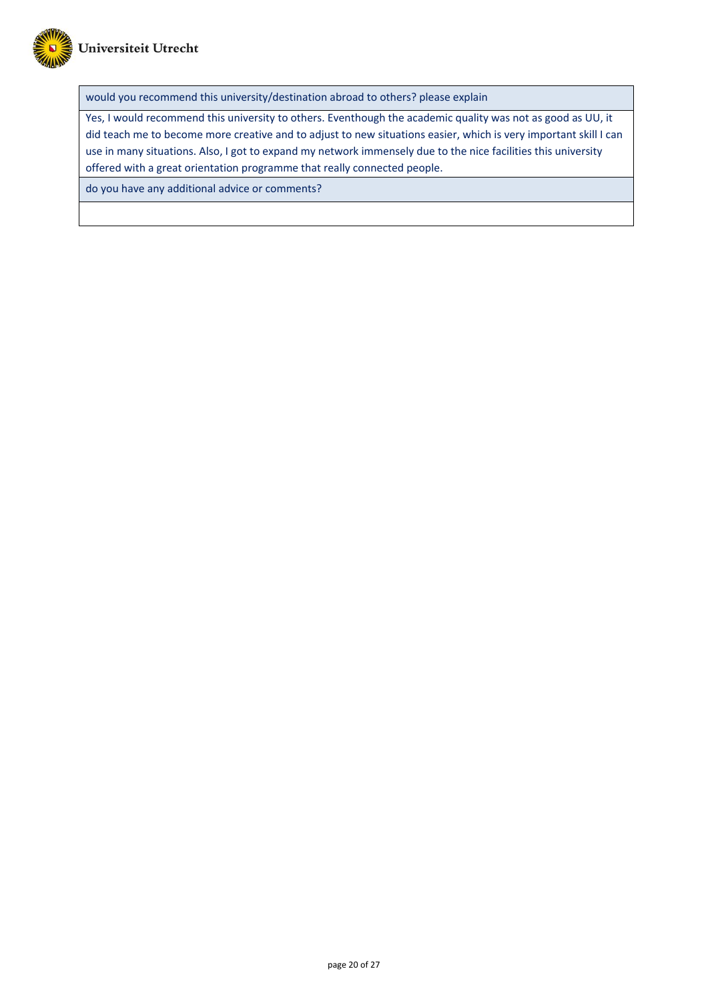

would you recommend this university/destination abroad to others? please explain

Yes, I would recommend this university to others. Eventhough the academic quality was not as good as UU, it did teach me to become more creative and to adjust to new situations easier, which is very important skill I can use in many situations. Also, I got to expand my network immensely due to the nice facilities this university offered with a great orientation programme that really connected people.

do you have any additional advice or comments?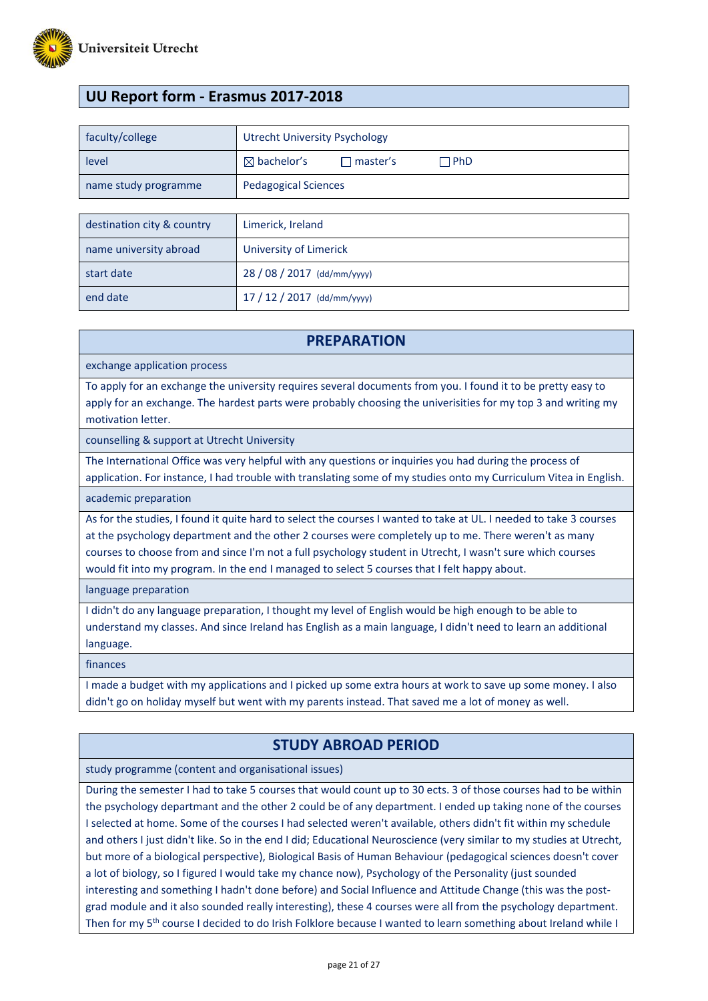

# **UU Report form - Erasmus 2017-2018**

| faculty/college      | <b>Utrecht University Psychology</b>                      |
|----------------------|-----------------------------------------------------------|
| level                | $\boxtimes$ bachelor's<br>$\Box$ PhD<br>$\sqcap$ master's |
| name study programme | <b>Pedagogical Sciences</b>                               |
|                      |                                                           |

| destination city & country | Limerick, Ireland           |
|----------------------------|-----------------------------|
| name university abroad     | University of Limerick      |
| start date                 | 28 / 08 / 2017 (dd/mm/yyyy) |
| end date                   | $17/12/2017$ (dd/mm/yyyy)   |

### **PREPARATION**

exchange application process

To apply for an exchange the university requires several documents from you. I found it to be pretty easy to apply for an exchange. The hardest parts were probably choosing the univerisities for my top 3 and writing my motivation letter.

counselling & support at Utrecht University

The International Office was very helpful with any questions or inquiries you had during the process of

application. For instance, I had trouble with translating some of my studies onto my Curriculum Vitea in English. academic preparation

As for the studies, I found it quite hard to select the courses I wanted to take at UL. I needed to take 3 courses at the psychology department and the other 2 courses were completely up to me. There weren't as many courses to choose from and since I'm not a full psychology student in Utrecht, I wasn't sure which courses would fit into my program. In the end I managed to select 5 courses that I felt happy about.

language preparation

I didn't do any language preparation, I thought my level of English would be high enough to be able to understand my classes. And since Ireland has English as a main language, I didn't need to learn an additional language.

finances

I made a budget with my applications and I picked up some extra hours at work to save up some money. I also didn't go on holiday myself but went with my parents instead. That saved me a lot of money as well.

### **STUDY ABROAD PERIOD**

study programme (content and organisational issues)

During the semester I had to take 5 courses that would count up to 30 ects. 3 of those courses had to be within the psychology departmant and the other 2 could be of any department. I ended up taking none of the courses I selected at home. Some of the courses I had selected weren't available, others didn't fit within my schedule and others I just didn't like. So in the end I did; Educational Neuroscience (very similar to my studies at Utrecht, but more of a biological perspective), Biological Basis of Human Behaviour (pedagogical sciences doesn't cover a lot of biology, so I figured I would take my chance now), Psychology of the Personality (just sounded interesting and something I hadn't done before) and Social Influence and Attitude Change (this was the postgrad module and it also sounded really interesting), these 4 courses were all from the psychology department. Then for my 5<sup>th</sup> course I decided to do Irish Folklore because I wanted to learn something about Ireland while I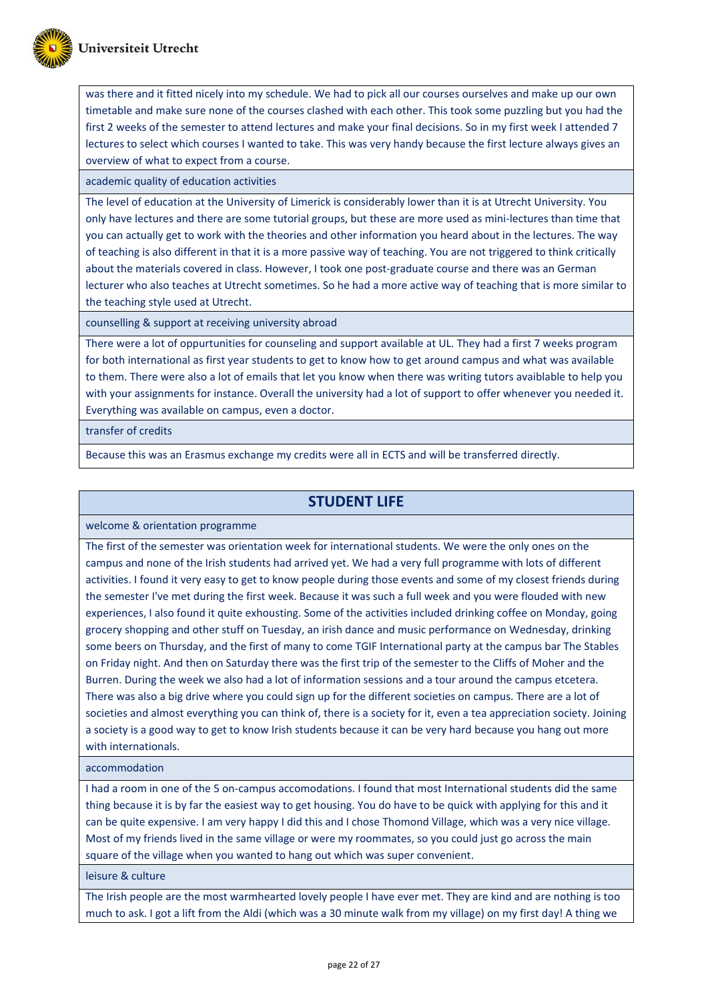

was there and it fitted nicely into my schedule. We had to pick all our courses ourselves and make up our own timetable and make sure none of the courses clashed with each other. This took some puzzling but you had the first 2 weeks of the semester to attend lectures and make your final decisions. So in my first week I attended 7 lectures to select which courses I wanted to take. This was very handy because the first lecture always gives an overview of what to expect from a course.

academic quality of education activities

The level of education at the University of Limerick is considerably lower than it is at Utrecht University. You only have lectures and there are some tutorial groups, but these are more used as mini-lectures than time that you can actually get to work with the theories and other information you heard about in the lectures. The way of teaching is also different in that it is a more passive way of teaching. You are not triggered to think critically about the materials covered in class. However, I took one post-graduate course and there was an German lecturer who also teaches at Utrecht sometimes. So he had a more active way of teaching that is more similar to the teaching style used at Utrecht.

counselling & support at receiving university abroad

There were a lot of oppurtunities for counseling and support available at UL. They had a first 7 weeks program for both international as first year students to get to know how to get around campus and what was available to them. There were also a lot of emails that let you know when there was writing tutors avaiblable to help you with your assignments for instance. Overall the university had a lot of support to offer whenever you needed it. Everything was available on campus, even a doctor.

transfer of credits

Because this was an Erasmus exchange my credits were all in ECTS and will be transferred directly.

# **STUDENT LIFE**

welcome & orientation programme

The first of the semester was orientation week for international students. We were the only ones on the campus and none of the Irish students had arrived yet. We had a very full programme with lots of different activities. I found it very easy to get to know people during those events and some of my closest friends during the semester I've met during the first week. Because it was such a full week and you were flouded with new experiences, I also found it quite exhousting. Some of the activities included drinking coffee on Monday, going grocery shopping and other stuff on Tuesday, an irish dance and music performance on Wednesday, drinking some beers on Thursday, and the first of many to come TGIF International party at the campus bar The Stables on Friday night. And then on Saturday there was the first trip of the semester to the Cliffs of Moher and the Burren. During the week we also had a lot of information sessions and a tour around the campus etcetera. There was also a big drive where you could sign up for the different societies on campus. There are a lot of societies and almost everything you can think of, there is a society for it, even a tea appreciation society. Joining a society is a good way to get to know Irish students because it can be very hard because you hang out more with internationals.

accommodation

I had a room in one of the 5 on-campus accomodations. I found that most International students did the same thing because it is by far the easiest way to get housing. You do have to be quick with applying for this and it can be quite expensive. I am very happy I did this and I chose Thomond Village, which was a very nice village. Most of my friends lived in the same village or were my roommates, so you could just go across the main square of the village when you wanted to hang out which was super convenient.

leisure & culture

The Irish people are the most warmhearted lovely people I have ever met. They are kind and are nothing is too much to ask. I got a lift from the Aldi (which was a 30 minute walk from my village) on my first day! A thing we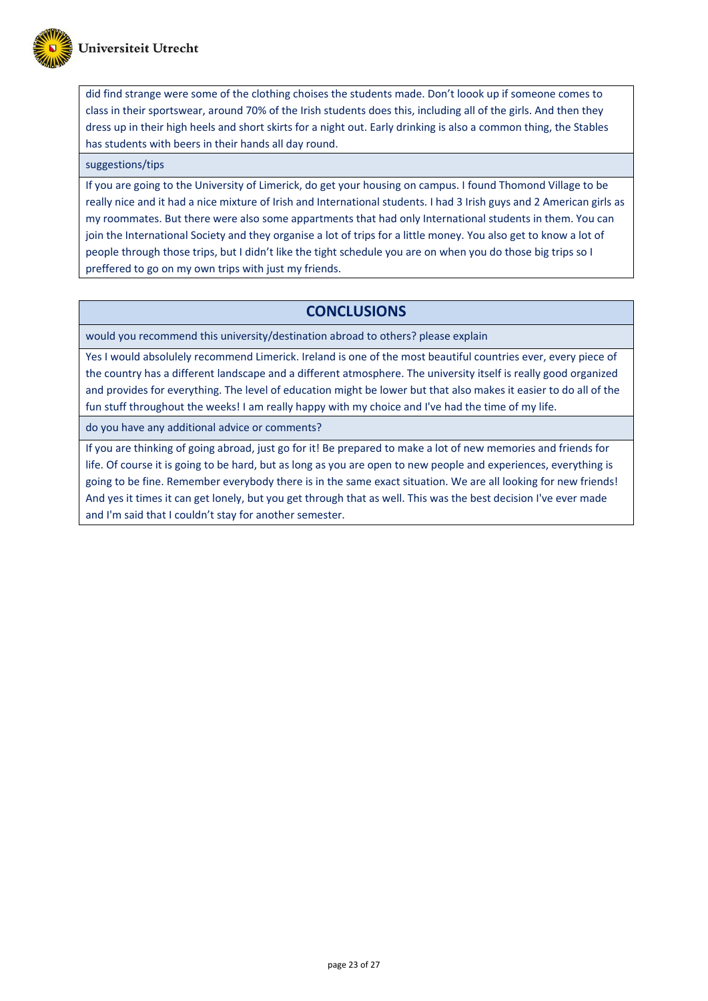did find strange were some of the clothing choises the students made. Don't loook up if someone comes to class in their sportswear, around 70% of the Irish students does this, including all of the girls. And then they dress up in their high heels and short skirts for a night out. Early drinking is also a common thing, the Stables has students with beers in their hands all day round.

#### suggestions/tips

If you are going to the University of Limerick, do get your housing on campus. I found Thomond Village to be really nice and it had a nice mixture of Irish and International students. I had 3 Irish guys and 2 American girls as my roommates. But there were also some appartments that had only International students in them. You can join the International Society and they organise a lot of trips for a little money. You also get to know a lot of people through those trips, but I didn't like the tight schedule you are on when you do those big trips so I preffered to go on my own trips with just my friends.

### **CONCLUSIONS**

would you recommend this university/destination abroad to others? please explain

Yes I would absolulely recommend Limerick. Ireland is one of the most beautiful countries ever, every piece of the country has a different landscape and a different atmosphere. The university itself is really good organized and provides for everything. The level of education might be lower but that also makes it easier to do all of the fun stuff throughout the weeks! I am really happy with my choice and I've had the time of my life.

do you have any additional advice or comments?

If you are thinking of going abroad, just go for it! Be prepared to make a lot of new memories and friends for life. Of course it is going to be hard, but as long as you are open to new people and experiences, everything is going to be fine. Remember everybody there is in the same exact situation. We are all looking for new friends! And yes it times it can get lonely, but you get through that as well. This was the best decision I've ever made and I'm said that I couldn't stay for another semester.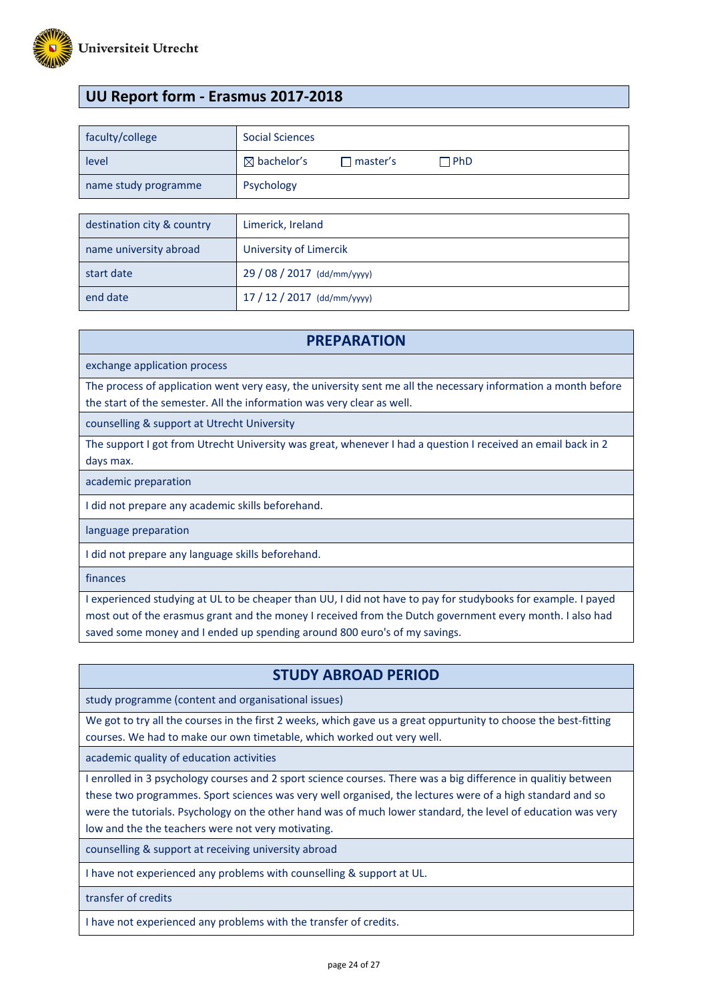

# **UU Report form - Erasmus 2017-2018**

| Social Sciences                                           |
|-----------------------------------------------------------|
| $\boxtimes$ bachelor's<br>$\Box$ PhD<br>$\sqcap$ master's |
| Psychology                                                |
|                                                           |
| Limerick, Ireland                                         |
|                                                           |

| name university abroad | University of Limercik      |
|------------------------|-----------------------------|
| start date             | 29 / 08 / 2017 (dd/mm/yyyy) |
| end date               | $17/12/2017$ (dd/mm/yyyy)   |

### **PREPARATION**

exchange application process

The process of application went very easy, the university sent me all the necessary information a month before the start of the semester. All the information was very clear as well.

counselling & support at Utrecht University

The support I got from Utrecht University was great, whenever I had a question I received an email back in 2 days max.

academic preparation

I did not prepare any academic skills beforehand.

language preparation

I did not prepare any language skills beforehand.

finances

I experienced studying at UL to be cheaper than UU, I did not have to pay for studybooks for example. I payed most out of the erasmus grant and the money I received from the Dutch government every month. I also had saved some money and I ended up spending around 800 euro's of my savings.

### **STUDY ABROAD PERIOD**

study programme (content and organisational issues)

We got to try all the courses in the first 2 weeks, which gave us a great oppurtunity to choose the best-fitting courses. We had to make our own timetable, which worked out very well.

academic quality of education activities

I enrolled in 3 psychology courses and 2 sport science courses. There was a big difference in qualitiy between these two programmes. Sport sciences was very well organised, the lectures were of a high standard and so were the tutorials. Psychology on the other hand was of much lower standard, the level of education was very low and the the teachers were not very motivating.

counselling & support at receiving university abroad

I have not experienced any problems with counselling & support at UL.

transfer of credits

I have not experienced any problems with the transfer of credits.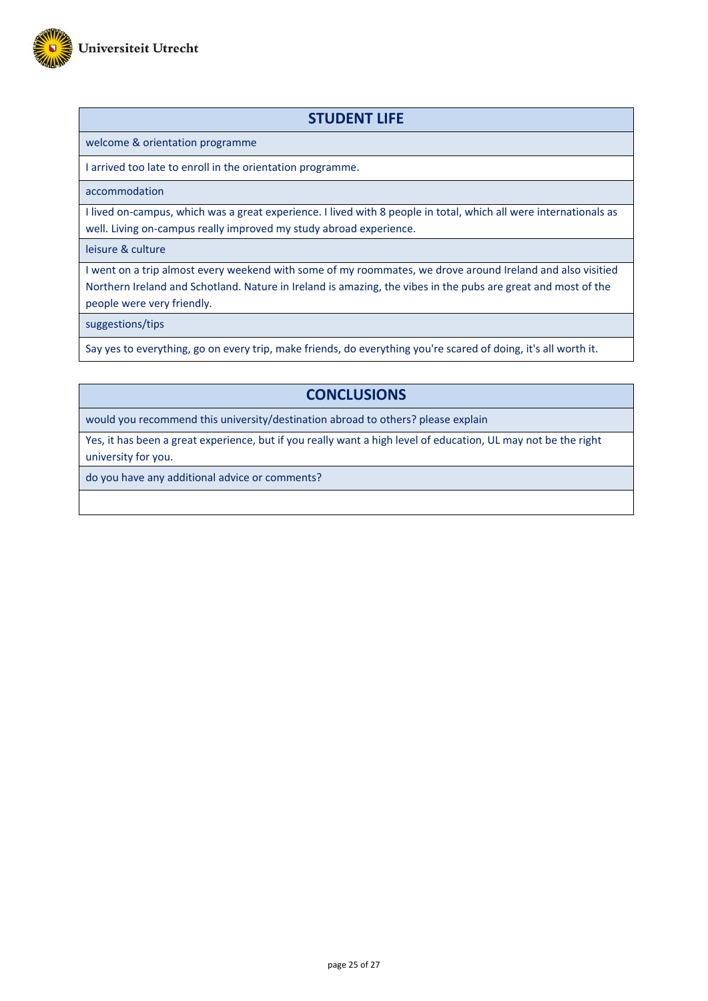

### **STUDENT LIFE**

welcome & orientation programme

I arrived too late to enroll in the orientation programme.

accommodation

I lived on-campus, which was a great experience. I lived with 8 people in total, which all were internationals as well. Living on-campus really improved my study abroad experience.

leisure & culture

I went on a trip almost every weekend with some of my roommates, we drove around Ireland and also visitied Northern Ireland and Schotland. Nature in Ireland is amazing, the vibes in the pubs are great and most of the people were very friendly.

suggestions/tips

Say yes to everything, go on every trip, make friends, do everything you're scared of doing, it's all worth it.

# **CONCLUSIONS**

would you recommend this university/destination abroad to others? please explain

Yes, it has been a great experience, but if you really want a high level of education, UL may not be the right university for you.

do you have any additional advice or comments?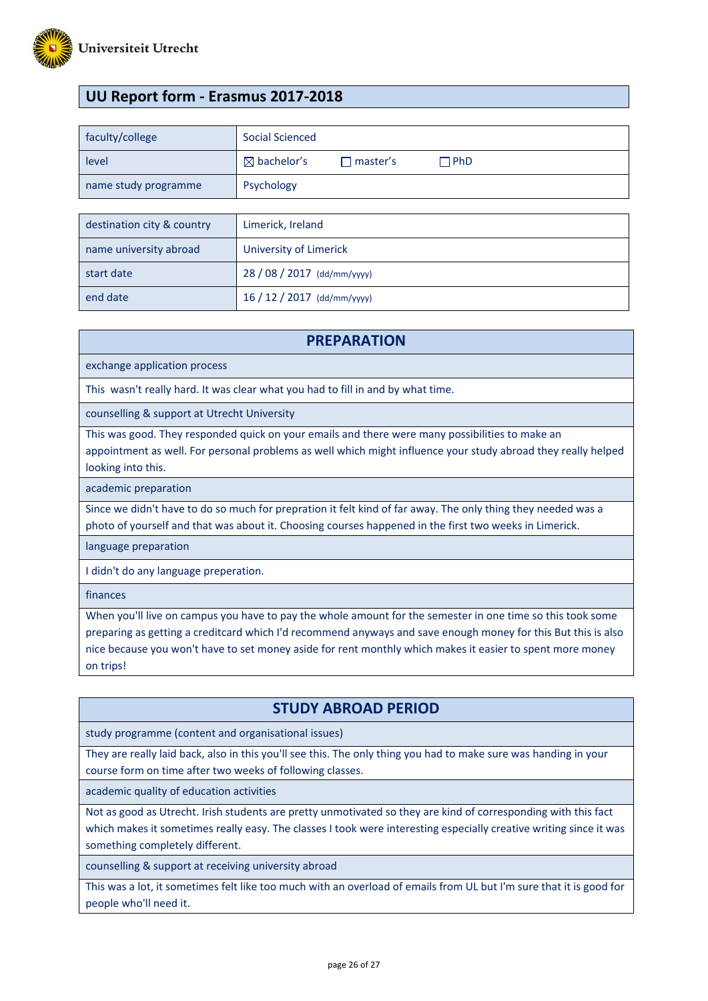

# **UU Report form - Erasmus 2017-2018**

| faculty/college            | Social Scienced                                           |
|----------------------------|-----------------------------------------------------------|
| level                      | $\boxtimes$ bachelor's<br>$\Box$ PhD<br>$\sqcap$ master's |
| name study programme       | Psychology                                                |
|                            |                                                           |
| destination city & country | Limerick, Ireland                                         |
| name university abroad     | University of Limerick                                    |

| start date | 28 / 08 / 2017 (dd/mm/yyyy) |
|------------|-----------------------------|
| end date   | $16/12/2017$ (dd/mm/yyyy)   |

#### **PREPARATION**

exchange application process

This wasn't really hard. It was clear what you had to fill in and by what time.

counselling & support at Utrecht University

This was good. They responded quick on your emails and there were many possibilities to make an appointment as well. For personal problems as well which might influence your study abroad they really helped looking into this.

academic preparation

Since we didn't have to do so much for prepration it felt kind of far away. The only thing they needed was a photo of yourself and that was about it. Choosing courses happened in the first two weeks in Limerick.

language preparation

I didn't do any language preperation.

finances

When you'll live on campus you have to pay the whole amount for the semester in one time so this took some preparing as getting a creditcard which I'd recommend anyways and save enough money for this But this is also nice because you won't have to set money aside for rent monthly which makes it easier to spent more money on trips!

# **STUDY ABROAD PERIOD**

study programme (content and organisational issues)

They are really laid back, also in this you'll see this. The only thing you had to make sure was handing in your course form on time after two weeks of following classes.

academic quality of education activities

Not as good as Utrecht. Irish students are pretty unmotivated so they are kind of corresponding with this fact which makes it sometimes really easy. The classes I took were interesting especially creative writing since it was something completely different.

counselling & support at receiving university abroad

This was a lot, it sometimes felt like too much with an overload of emails from UL but I'm sure that it is good for people who'll need it.